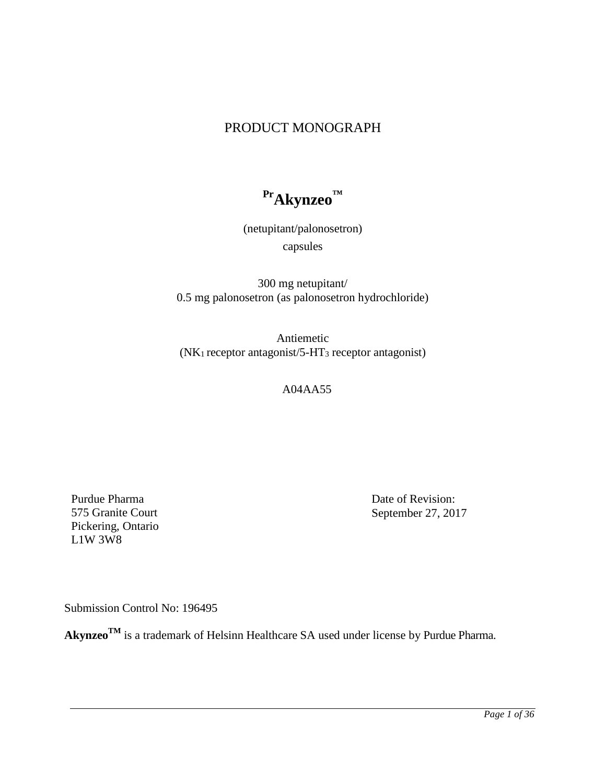# PRODUCT MONOGRAPH

**PrAkynzeo™**

(netupitant/palonosetron) capsules

300 mg netupitant/ 0.5 mg palonosetron (as palonosetron hydrochloride)

Antiemetic (NK1 receptor antagonist/5-HT3 receptor antagonist)

A04AA55

Purdue Pharma 575 Granite Court Pickering, Ontario L1W 3W8

Date of Revision: September 27, 2017

Submission Control No: 196495

Akynzeo<sup>TM</sup> is a trademark of Helsinn Healthcare SA used under license by Purdue Pharma.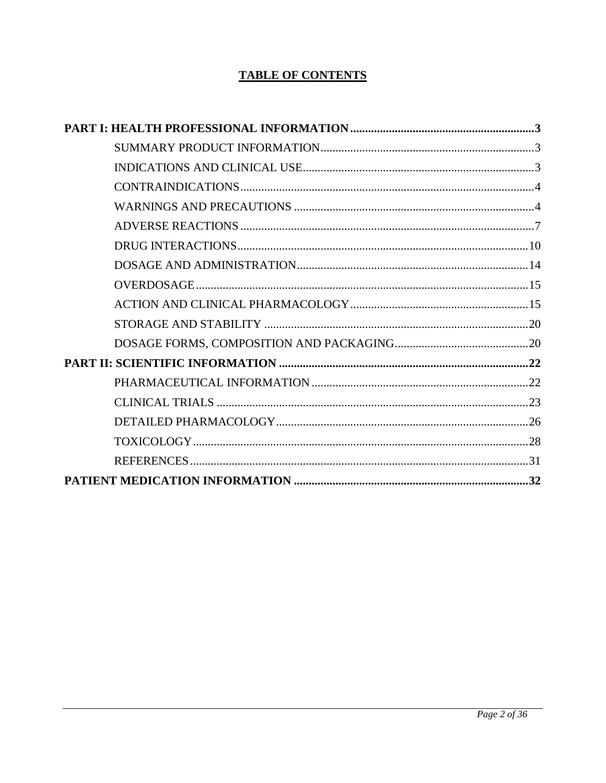# **TABLE OF CONTENTS**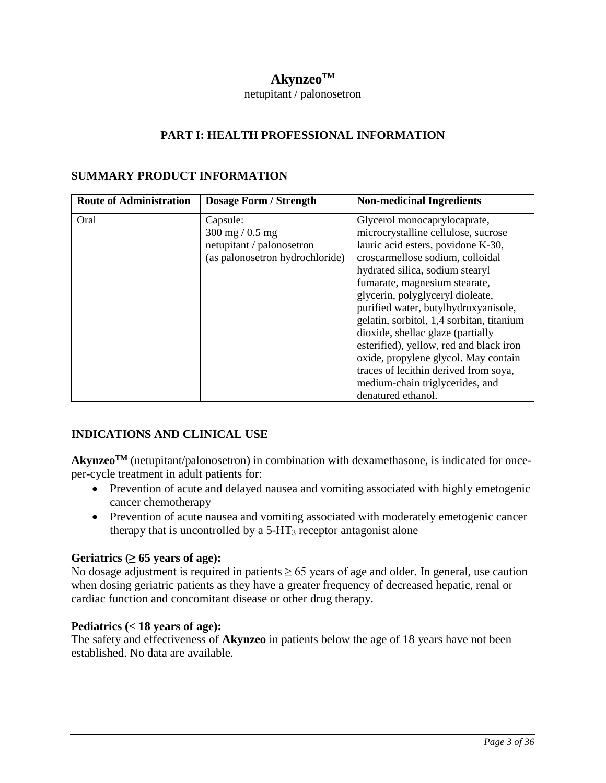# $A$ kynzeo<sup>TM</sup>

#### netupitant / palonosetron

### **PART I: HEALTH PROFESSIONAL INFORMATION**

### <span id="page-2-1"></span><span id="page-2-0"></span>**SUMMARY PRODUCT INFORMATION**

| <b>Route of Administration</b> | <b>Dosage Form / Strength</b>     | <b>Non-medicinal Ingredients</b>          |
|--------------------------------|-----------------------------------|-------------------------------------------|
| Oral                           | Capsule:                          | Glycerol monocaprylocaprate,              |
|                                | $300 \text{ mg} / 0.5 \text{ mg}$ | microcrystalline cellulose, sucrose       |
|                                | netupitant / palonosetron         | lauric acid esters, povidone K-30,        |
|                                | (as palonosetron hydrochloride)   | croscarmellose sodium, colloidal          |
|                                |                                   | hydrated silica, sodium stearyl           |
|                                |                                   | fumarate, magnesium stearate,             |
|                                |                                   | glycerin, polyglyceryl dioleate,          |
|                                |                                   | purified water, butylhydroxyanisole,      |
|                                |                                   | gelatin, sorbitol, 1,4 sorbitan, titanium |
|                                |                                   | dioxide, shellac glaze (partially         |
|                                |                                   | esterified), yellow, red and black iron   |
|                                |                                   | oxide, propylene glycol. May contain      |
|                                |                                   | traces of lecithin derived from soya,     |
|                                |                                   | medium-chain triglycerides, and           |
|                                |                                   | denatured ethanol.                        |

## <span id="page-2-2"></span>**INDICATIONS AND CLINICAL USE**

Akynzeo<sup>TM</sup> (netupitant/palonosetron) in combination with dexamethasone, is indicated for onceper-cycle treatment in adult patients for:

- Prevention of acute and delayed nausea and vomiting associated with highly emetogenic cancer chemotherapy
- Prevention of acute nausea and vomiting associated with moderately emetogenic cancer therapy that is uncontrolled by a  $5-HT<sub>3</sub>$  receptor antagonist alone

#### **Geriatrics**  $(≥ 65$  years of age):

No dosage adjustment is required in patients  $\geq 65$  years of age and older. In general, use caution when dosing geriatric patients as they have a greater frequency of decreased hepatic, renal or cardiac function and concomitant disease or other drug therapy.

#### **Pediatrics (< 18 years of age):**

<span id="page-2-3"></span>The safety and effectiveness of **Akynzeo** in patients below the age of 18 years have not been established. No data are available.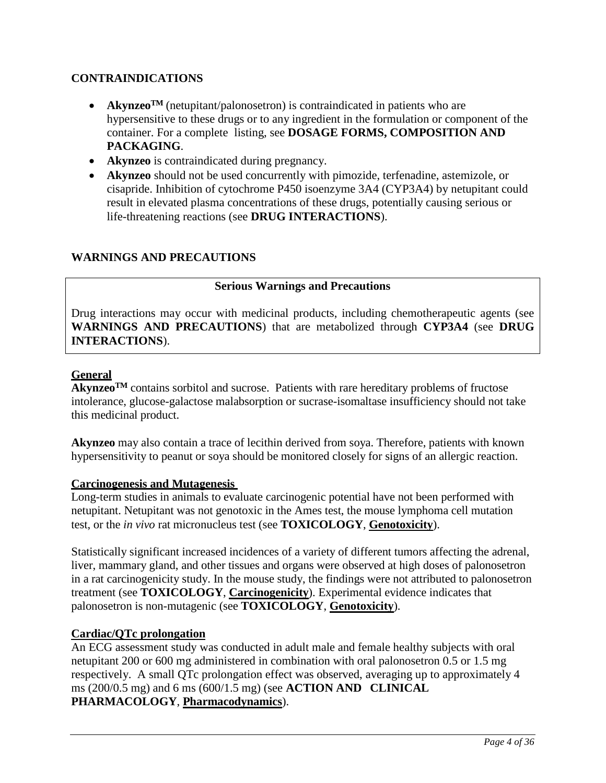# **CONTRAINDICATIONS**

- **Akynzeo<sup>TM</sup>** (netupitant/palonosetron) is contraindicated in patients who are hypersensitive to these drugs or to any ingredient in the formulation or component of the container. For a complete listing, see **DOSAGE FORMS, COMPOSITION AND PACKAGING**.
- **Akynzeo** is contraindicated during pregnancy.
- **Akynzeo** should not be used concurrently with pimozide, terfenadine, astemizole, or cisapride. Inhibition of cytochrome P450 isoenzyme 3A4 (CYP3A4) by netupitant could result in elevated plasma concentrations of these drugs, potentially causing serious or life-threatening reactions (see **DRUG INTERACTIONS**).

# <span id="page-3-0"></span>**WARNINGS AND PRECAUTIONS**

# **Serious Warnings and Precautions**

Drug interactions may occur with medicinal products, including chemotherapeutic agents (see **WARNINGS AND PRECAUTIONS**) that are metabolized through **CYP3A4** (see **DRUG INTERACTIONS**).

## **General**

**Akynzeo**<sup>TM</sup> contains sorbitol and sucrose. Patients with rare hereditary problems of fructose intolerance, glucose-galactose malabsorption or sucrase-isomaltase insufficiency should not take this medicinal product.

**Akynzeo** may also contain a trace of lecithin derived from soya. Therefore, patients with known hypersensitivity to peanut or soya should be monitored closely for signs of an allergic reaction.

## **Carcinogenesis and Mutagenesis**

Long-term studies in animals to evaluate carcinogenic potential have not been performed with netupitant. Netupitant was not genotoxic in the Ames test, the mouse lymphoma cell mutation test, or the *in vivo* rat micronucleus test (see **TOXICOLOGY**, **Genotoxicity**).

Statistically significant increased incidences of a variety of different tumors affecting the adrenal, liver, mammary gland, and other tissues and organs were observed at high doses of palonosetron in a rat carcinogenicity study. In the mouse study, the findings were not attributed to palonosetron treatment (see **TOXICOLOGY**, **Carcinogenicity**). Experimental evidence indicates that palonosetron is non-mutagenic (see **TOXICOLOGY**, **Genotoxicity**).

## **Cardiac/QTc prolongation**

An ECG assessment study was conducted in adult male and female healthy subjects with oral netupitant 200 or 600 mg administered in combination with oral palonosetron 0.5 or 1.5 mg respectively. A small QTc prolongation effect was observed, averaging up to approximately 4 ms (200/0.5 mg) and 6 ms (600/1.5 mg) (see **ACTION AND CLINICAL PHARMACOLOGY**, **Pharmacodynamics**).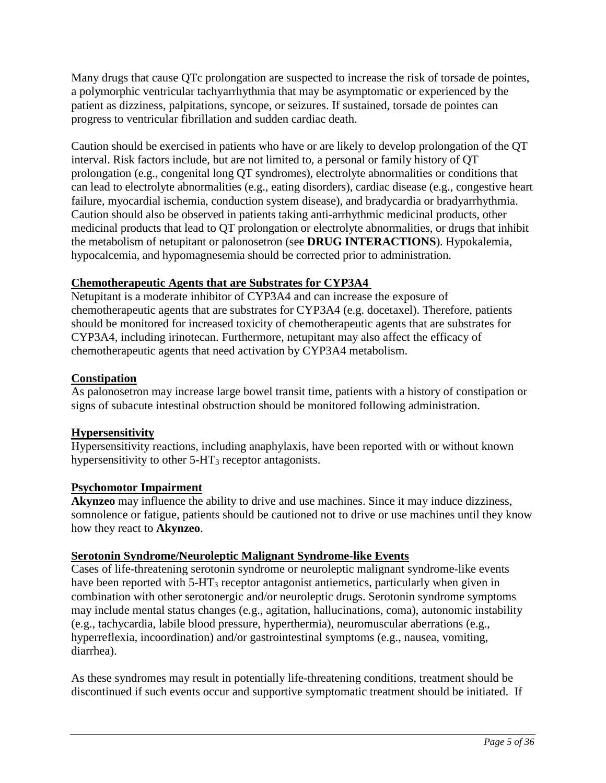Many drugs that cause QTc prolongation are suspected to increase the risk of torsade de pointes, a polymorphic ventricular tachyarrhythmia that may be asymptomatic or experienced by the patient as dizziness, palpitations, syncope, or seizures. If sustained, torsade de pointes can progress to ventricular fibrillation and sudden cardiac death.

Caution should be exercised in patients who have or are likely to develop prolongation of the QT interval. Risk factors include, but are not limited to, a personal or family history of QT prolongation (e.g., congenital long QT syndromes), electrolyte abnormalities or conditions that can lead to electrolyte abnormalities (e.g., eating disorders), cardiac disease (e.g., congestive heart failure, myocardial ischemia, conduction system disease), and bradycardia or bradyarrhythmia. Caution should also be observed in patients taking anti-arrhythmic medicinal products, other medicinal products that lead to QT prolongation or electrolyte abnormalities, or drugs that inhibit the metabolism of netupitant or palonosetron (see **DRUG INTERACTIONS**). Hypokalemia, hypocalcemia, and hypomagnesemia should be corrected prior to administration.

## **Chemotherapeutic Agents that are Substrates for CYP3A4**

Netupitant is a moderate inhibitor of CYP3A4 and can increase the exposure of chemotherapeutic agents that are substrates for CYP3A4 (e.g. docetaxel). Therefore, patients should be monitored for increased toxicity of chemotherapeutic agents that are substrates for CYP3A4, including irinotecan. Furthermore, netupitant may also affect the efficacy of chemotherapeutic agents that need activation by CYP3A4 metabolism.

# **Constipation**

As palonosetron may increase large bowel transit time, patients with a history of constipation or signs of subacute intestinal obstruction should be monitored following administration.

# **Hypersensitivity**

Hypersensitivity reactions, including anaphylaxis, have been reported with or without known hypersensitivity to other  $5-\text{HT}_3$  receptor antagonists.

# **Psychomotor Impairment**

**Akynzeo** may influence the ability to drive and use machines. Since it may induce dizziness, somnolence or fatigue, patients should be cautioned not to drive or use machines until they know how they react to **Akynzeo**.

## **Serotonin Syndrome/Neuroleptic Malignant Syndrome-like Events**

Cases of life-threatening serotonin syndrome or neuroleptic malignant syndrome-like events have been reported with 5-HT<sub>3</sub> receptor antagonist antiemetics, particularly when given in combination with other serotonergic and/or neuroleptic drugs. Serotonin syndrome symptoms may include mental status changes (e.g., agitation, hallucinations, coma), autonomic instability (e.g., tachycardia, labile blood pressure, hyperthermia), neuromuscular aberrations (e.g., hyperreflexia, incoordination) and/or gastrointestinal symptoms (e.g., nausea, vomiting, diarrhea).

As these syndromes may result in potentially life-threatening conditions, treatment should be discontinued if such events occur and supportive symptomatic treatment should be initiated. If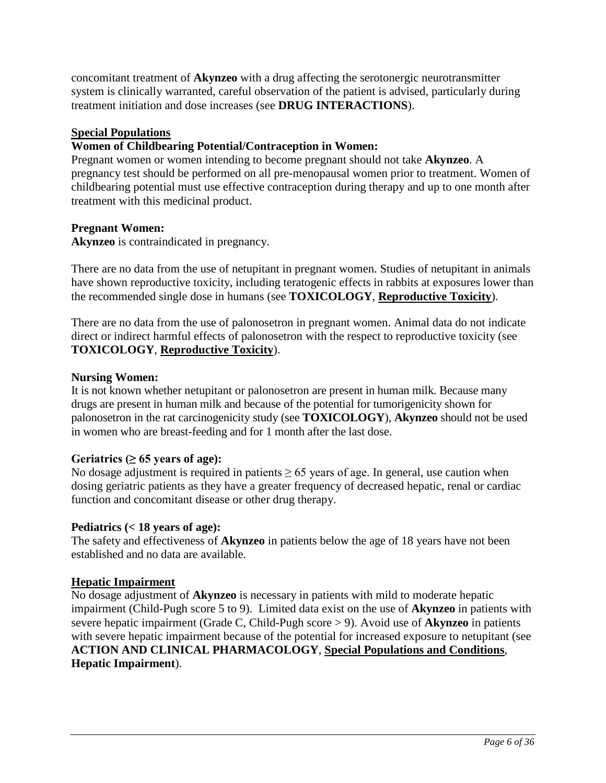concomitant treatment of **Akynzeo** with a drug affecting the serotonergic neurotransmitter system is clinically warranted, careful observation of the patient is advised, particularly during treatment initiation and dose increases (see **DRUG INTERACTIONS**).

## **Special Populations**

# **Women of Childbearing Potential/Contraception in Women:**

Pregnant women or women intending to become pregnant should not take **Akynzeo**. A pregnancy test should be performed on all pre-menopausal women prior to treatment. Women of childbearing potential must use effective contraception during therapy and up to one month after treatment with this medicinal product.

# **Pregnant Women:**

**Akynzeo** is contraindicated in pregnancy.

There are no data from the use of netupitant in pregnant women. Studies of netupitant in animals have shown reproductive toxicity, including teratogenic effects in rabbits at exposures lower than the recommended single dose in humans (see **TOXICOLOGY**, **Reproductive Toxicity**).

There are no data from the use of palonosetron in pregnant women. Animal data do not indicate direct or indirect harmful effects of palonosetron with the respect to reproductive toxicity (see **TOXICOLOGY**, **Reproductive Toxicity**).

## **Nursing Women:**

It is not known whether netupitant or palonosetron are present in human milk. Because many drugs are present in human milk and because of the potential for tumorigenicity shown for palonosetron in the rat carcinogenicity study (see **TOXICOLOGY**), **Akynzeo** should not be used in women who are breast-feeding and for 1 month after the last dose.

## Geriatrics  $(≥ 65$  years of age):

No dosage adjustment is required in patients  $\geq 65$  years of age. In general, use caution when dosing geriatric patients as they have a greater frequency of decreased hepatic, renal or cardiac function and concomitant disease or other drug therapy.

## **Pediatrics (< 18 years of age):**

The safety and effectiveness of **Akynzeo** in patients below the age of 18 years have not been established and no data are available.

## **Hepatic Impairment**

No dosage adjustment of **Akynzeo** is necessary in patients with mild to moderate hepatic impairment (Child-Pugh score 5 to 9). Limited data exist on the use of **Akynzeo** in patients with severe hepatic impairment (Grade C, Child-Pugh score > 9). Avoid use of **Akynzeo** in patients with severe hepatic impairment because of the potential for increased exposure to netupitant (see **ACTION AND CLINICAL PHARMACOLOGY**, **Special Populations and Conditions**, **Hepatic Impairment**).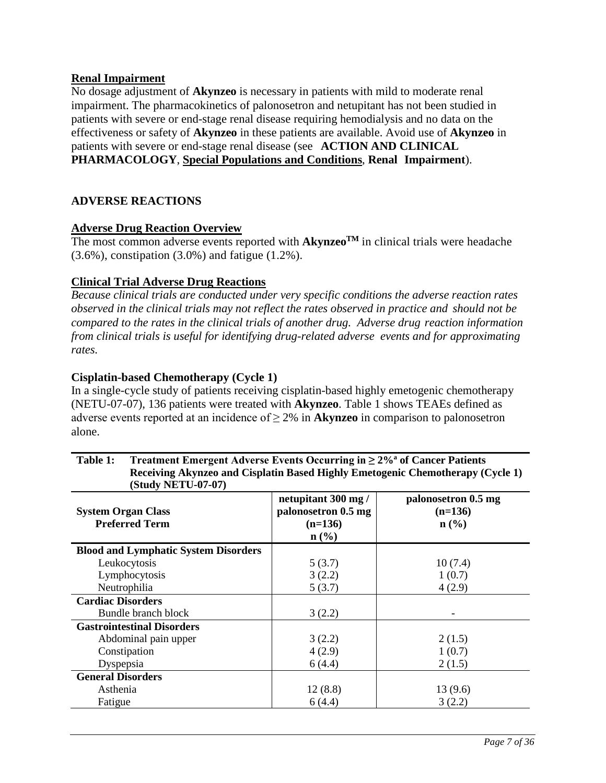#### **Renal Impairment**

No dosage adjustment of **Akynzeo** is necessary in patients with mild to moderate renal impairment. The pharmacokinetics of palonosetron and netupitant has not been studied in patients with severe or end-stage renal disease requiring hemodialysis and no data on the effectiveness or safety of **Akynzeo** in these patients are available. Avoid use of **Akynzeo** in patients with severe or end-stage renal disease (see **ACTION AND CLINICAL PHARMACOLOGY**, **Special Populations and Conditions**, **Renal Impairment**).

## <span id="page-6-0"></span>**ADVERSE REACTIONS**

#### **Adverse Drug Reaction Overview**

The most common adverse events reported with  $Akynzeo^{TM}$  in clinical trials were headache (3.6%), constipation (3.0%) and fatigue (1.2%).

### **Clinical Trial Adverse Drug Reactions**

*Because clinical trials are conducted under very specific conditions the adverse reaction rates observed in the clinical trials may not reflect the rates observed in practice and should not be compared to the rates in the clinical trials of another drug. Adverse drug reaction information from clinical trials is useful for identifying drug-related adverse events and for approximating rates.*

### **Cisplatin-based Chemotherapy (Cycle 1)**

In a single-cycle study of patients receiving cisplatin-based highly emetogenic chemotherapy (NETU-07-07), 136 patients were treated with **Akynzeo**. Table 1 shows TEAEs defined as adverse events reported at an incidence of  $\geq 2\%$  in **Akynzeo** in comparison to palonosetron alone.

| <b>System Organ Class</b><br><b>Preferred Term</b> | netupitant 300 mg/<br>palonosetron 0.5 mg<br>$(n=136)$<br>$n\left(\frac{0}{0}\right)$ | palonosetron 0.5 mg<br>$(n=136)$<br>$n\left(\frac{9}{6}\right)$ |
|----------------------------------------------------|---------------------------------------------------------------------------------------|-----------------------------------------------------------------|
| <b>Blood and Lymphatic System Disorders</b>        |                                                                                       |                                                                 |
| Leukocytosis                                       | 5(3.7)                                                                                | 10(7.4)                                                         |
| Lymphocytosis                                      | 3(2.2)                                                                                | 1(0.7)                                                          |
| Neutrophilia                                       | 5(3.7)                                                                                | 4(2.9)                                                          |
| <b>Cardiac Disorders</b>                           |                                                                                       |                                                                 |
| Bundle branch block                                | 3(2.2)                                                                                |                                                                 |
| <b>Gastrointestinal Disorders</b>                  |                                                                                       |                                                                 |
| Abdominal pain upper                               | 3(2.2)                                                                                | 2(1.5)                                                          |
| Constipation                                       | 4(2.9)                                                                                | 1(0.7)                                                          |
| Dyspepsia                                          | 6(4.4)                                                                                | 2(1.5)                                                          |
| <b>General Disorders</b>                           |                                                                                       |                                                                 |
| Asthenia                                           | 12(8.8)                                                                               | 13(9.6)                                                         |
| Fatigue                                            | 6(4.4)                                                                                | 3(2.2)                                                          |

#### **Table 1: Treatment Emergent Adverse Events Occurring in ≥ 2%a of Cancer Patients Receiving Akynzeo and Cisplatin Based Highly Emetogenic Chemotherapy (Cycle 1) (Study NETU-07-07)**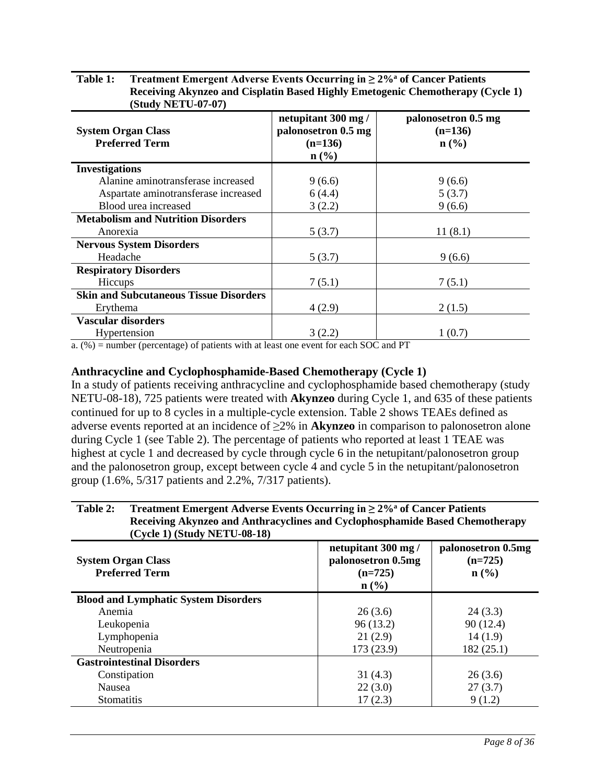| <b>System Organ Class</b><br><b>Preferred Term</b> | netupitant 300 mg/<br>palonosetron 0.5 mg<br>$(n=136)$<br>$n\left(\frac{0}{0}\right)$ | palonosetron 0.5 mg<br>$(n=136)$<br>$n\left(\frac{0}{0}\right)$ |
|----------------------------------------------------|---------------------------------------------------------------------------------------|-----------------------------------------------------------------|
| <b>Investigations</b>                              |                                                                                       |                                                                 |
| Alanine aminotransferase increased                 | 9(6.6)                                                                                | 9(6.6)                                                          |
| Aspartate aminotransferase increased               | 6(4.4)                                                                                | 5(3.7)                                                          |
| Blood urea increased                               | 3(2.2)                                                                                | 9(6.6)                                                          |
| <b>Metabolism and Nutrition Disorders</b>          |                                                                                       |                                                                 |
| Anorexia                                           | 5(3.7)                                                                                | 11(8.1)                                                         |
| <b>Nervous System Disorders</b>                    |                                                                                       |                                                                 |
| Headache                                           | 5(3.7)                                                                                | 9(6.6)                                                          |
| <b>Respiratory Disorders</b>                       |                                                                                       |                                                                 |
| Hiccups                                            | 7(5.1)                                                                                | 7(5.1)                                                          |
| <b>Skin and Subcutaneous Tissue Disorders</b>      |                                                                                       |                                                                 |
| Erythema                                           | 4(2.9)                                                                                | 2(1.5)                                                          |
| <b>Vascular disorders</b>                          |                                                                                       |                                                                 |
| Hypertension                                       | 3(2.2)                                                                                | 1(0.7)                                                          |

| Table 1: | <b>Treatment Emergent Adverse Events Occurring in <math>\geq 2\%</math> of Cancer Patients</b> |
|----------|------------------------------------------------------------------------------------------------|
|          | Receiving Akynzeo and Cisplatin Based Highly Emetogenic Chemotherapy (Cycle 1)                 |
|          | <b>(Study NETU-07-07)</b>                                                                      |

a. (%) = number (percentage) of patients with at least one event for each SOC and PT

#### **Anthracycline and Cyclophosphamide-Based Chemotherapy (Cycle 1)**

In a study of patients receiving anthracycline and cyclophosphamide based chemotherapy (study NETU-08-18), 725 patients were treated with **Akynzeo** during Cycle 1, and 635 of these patients continued for up to 8 cycles in a multiple-cycle extension. Table 2 shows TEAEs defined as adverse events reported at an incidence of ≥2% in **Akynzeo** in comparison to palonosetron alone during Cycle 1 (see [Table 2\)](#page-7-0). The percentage of patients who reported at least 1 TEAE was highest at cycle 1 and decreased by cycle through cycle 6 in the netupitant/palonosetron group and the palonosetron group, except between cycle 4 and cycle 5 in the netupitant/palonosetron group (1.6%, 5/317 patients and 2.2%, 7/317 patients).

#### <span id="page-7-0"></span>**Table 2: Treatment Emergent Adverse Events Occurring in ≥ 2[%a](#page-8-0) of Cancer Patients Receiving Akynzeo and Anthracyclines and Cyclophosphamide Based Chemotherapy (Cycle 1) (Study NETU-08-18)**

| <b>System Organ Class</b><br><b>Preferred Term</b> | netupitant 300 mg/<br>palonosetron 0.5mg<br>$(n=725)$<br>$\mathbf{n}(\%)$ | palonosetron 0.5mg<br>$(n=725)$<br>$n\left(\frac{0}{0}\right)$ |
|----------------------------------------------------|---------------------------------------------------------------------------|----------------------------------------------------------------|
| <b>Blood and Lymphatic System Disorders</b>        |                                                                           |                                                                |
| Anemia                                             | 26(3.6)                                                                   | 24(3.3)                                                        |
| Leukopenia                                         | 96(13.2)                                                                  | 90(12.4)                                                       |
| Lymphopenia                                        | 21(2.9)                                                                   | 14(1.9)                                                        |
| Neutropenia                                        | 173 (23.9)                                                                | 182(25.1)                                                      |
| <b>Gastrointestinal Disorders</b>                  |                                                                           |                                                                |
| Constipation                                       | 31(4.3)                                                                   | 26(3.6)                                                        |
| <b>Nausea</b>                                      | 22(3.0)                                                                   | 27(3.7)                                                        |
| <b>Stomatitis</b>                                  | 17(2.3)                                                                   | 9(1.2)                                                         |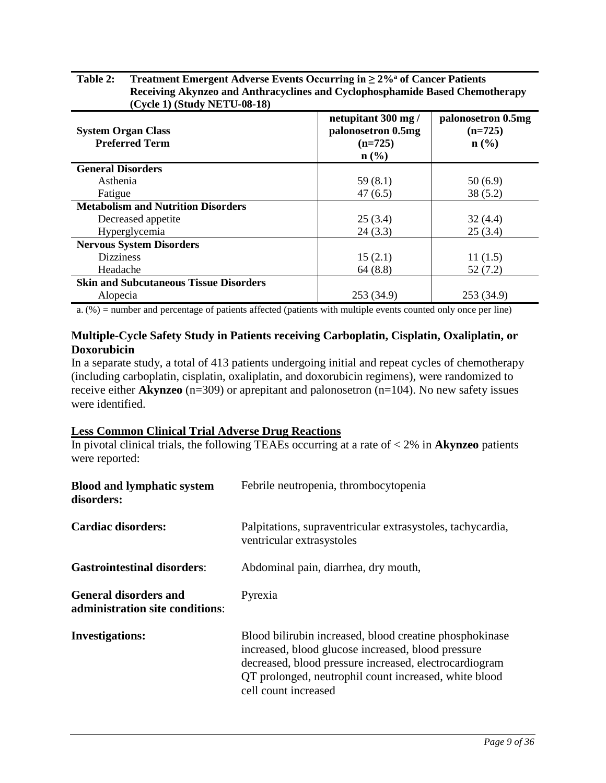#### **Table 2: Treatment Emergent Adverse Events Occurring in ≥ 2[%a](#page-8-0) of Cancer Patients Receiving Akynzeo and Anthracyclines and Cyclophosphamide Based Chemotherapy (Cycle 1) (Study NETU-08-18)**

| <b>System Organ Class</b><br><b>Preferred Term</b> | netupitant 300 mg/<br>palonosetron 0.5mg<br>$(n=725)$<br>$n\left(\frac{0}{0}\right)$ | palonosetron 0.5mg<br>$(n=725)$<br>$n\left(\frac{0}{0}\right)$ |
|----------------------------------------------------|--------------------------------------------------------------------------------------|----------------------------------------------------------------|
| <b>General Disorders</b>                           |                                                                                      |                                                                |
| Asthenia                                           | 59(8.1)                                                                              | 50(6.9)                                                        |
| Fatigue                                            | 47(6.5)                                                                              | 38(5.2)                                                        |
| <b>Metabolism and Nutrition Disorders</b>          |                                                                                      |                                                                |
| Decreased appetite                                 | 25(3.4)                                                                              | 32(4.4)                                                        |
| Hyperglycemia                                      | 24(3.3)                                                                              | 25(3.4)                                                        |
| <b>Nervous System Disorders</b>                    |                                                                                      |                                                                |
| <b>Dizziness</b>                                   | 15(2.1)                                                                              | 11(1.5)                                                        |
| Headache                                           | 64(8.8)                                                                              | 52(7.2)                                                        |
| <b>Skin and Subcutaneous Tissue Disorders</b>      |                                                                                      |                                                                |
| Alopecia                                           | 253 (34.9)                                                                           | 253 (34.9)                                                     |

<span id="page-8-0"></span>a. (%) = number and percentage of patients affected (patients with multiple events counted only once per line)

## **Multiple-Cycle Safety Study in Patients receiving Carboplatin, Cisplatin, Oxaliplatin, or Doxorubicin**

In a separate study, a total of 413 patients undergoing initial and repeat cycles of chemotherapy (including carboplatin, cisplatin, oxaliplatin, and doxorubicin regimens), were randomized to receive either **Akynzeo** (n=309) or aprepitant and palonosetron (n=104). No new safety issues were identified.

## **Less Common Clinical Trial Adverse Drug Reactions**

In pivotal clinical trials, the following TEAEs occurring at a rate of < 2% in **Akynzeo** patients were reported:

| <b>Blood and lymphatic system</b><br>disorders:                 | Febrile neutropenia, thrombocytopenia                                                                                                                                                                                                                    |
|-----------------------------------------------------------------|----------------------------------------------------------------------------------------------------------------------------------------------------------------------------------------------------------------------------------------------------------|
| Cardiac disorders:                                              | Palpitations, supraventricular extrasystoles, tachycardia,<br>ventricular extrasystoles                                                                                                                                                                  |
| <b>Gastrointestinal disorders:</b>                              | Abdominal pain, diarrhea, dry mouth,                                                                                                                                                                                                                     |
| <b>General disorders and</b><br>administration site conditions: | Pyrexia                                                                                                                                                                                                                                                  |
| <b>Investigations:</b>                                          | Blood bilirubin increased, blood creatine phosphokinase<br>increased, blood glucose increased, blood pressure<br>decreased, blood pressure increased, electrocardiogram<br>QT prolonged, neutrophil count increased, white blood<br>cell count increased |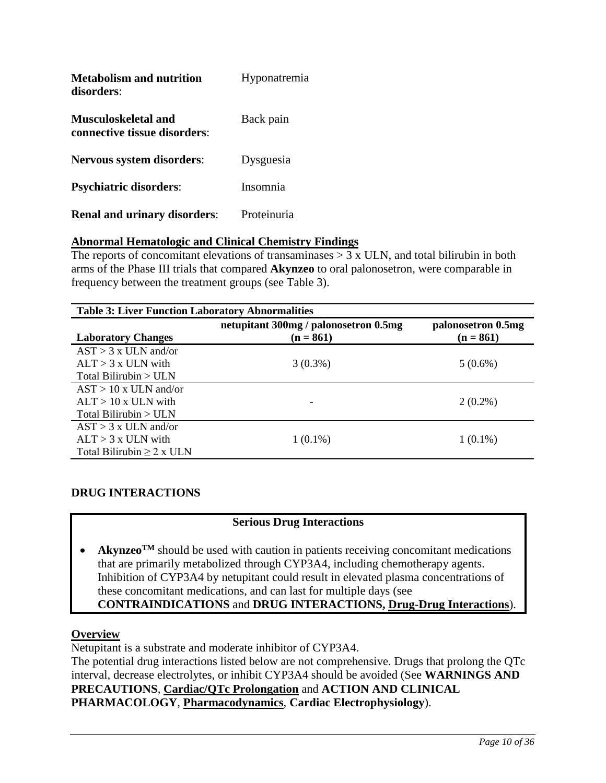| <b>Metabolism and nutrition</b><br>disorders:              | Hyponatremia |
|------------------------------------------------------------|--------------|
| <b>Musculoskeletal and</b><br>connective tissue disorders: | Back pain    |
| <b>Nervous system disorders:</b>                           | Dysguesia    |
| <b>Psychiatric disorders:</b>                              | Insomnia     |
| <b>Renal and urinary disorders:</b>                        | Proteinuria  |

# **Abnormal Hematologic and Clinical Chemistry Findings**

The reports of concomitant elevations of transaminases  $> 3 \times$  ULN, and total bilirubin in both arms of the Phase III trials that compared **Akynzeo** to oral palonosetron, were comparable in frequency between the treatment groups (see [Table 3\)](#page-9-1).

<span id="page-9-1"></span>

| <b>Table 3: Liver Function Laboratory Abnormalities</b> |                                       |                                   |  |
|---------------------------------------------------------|---------------------------------------|-----------------------------------|--|
|                                                         | netupitant 300mg / palonosetron 0.5mg | palonosetron 0.5mg<br>$(n = 861)$ |  |
| <b>Laboratory Changes</b>                               | $(n = 861)$                           |                                   |  |
| $AST > 3x$ ULN and/or                                   |                                       |                                   |  |
| $AI.T > 3x$ ULN with                                    | $3(0.3\%)$                            | $5(0.6\%)$                        |  |
| Total Bilirubin > ULN                                   |                                       |                                   |  |
| $AST > 10x$ ULN and/or                                  |                                       |                                   |  |
| $AI.T > 10x$ ULN with                                   |                                       | $2(0.2\%)$                        |  |
| Total Bilirubin $>$ ULN                                 |                                       |                                   |  |
| $AST > 3x$ ULN and/or                                   |                                       |                                   |  |
| $AI.T > 3x$ ULN with                                    | $1(0.1\%)$                            | $1(0.1\%)$                        |  |
| Total Bilirubin $\geq 2$ x ULN                          |                                       |                                   |  |

## <span id="page-9-0"></span>**DRUG INTERACTIONS**

## **Serious Drug Interactions**

**Akynzeo**<sup>TM</sup> should be used with caution in patients receiving concomitant medications that are primarily metabolized through CYP3A4, including chemotherapy agents. Inhibition of CYP3A4 by netupitant could result in elevated plasma concentrations of these concomitant medications, and can last for multiple days (see **CONTRAINDICATIONS** and **DRUG INTERACTIONS, Drug-Drug Interactions**).

## **Overview**

Netupitant is a substrate and moderate inhibitor of CYP3A4.

The potential drug interactions listed below are not comprehensive. Drugs that prolong the QTc interval, decrease electrolytes, or inhibit CYP3A4 should be avoided (See **WARNINGS AND PRECAUTIONS**, **Cardiac/QTc Prolongation** and **ACTION AND CLINICAL PHARMACOLOGY**, **Pharmacodynamics**, **Cardiac Electrophysiology**).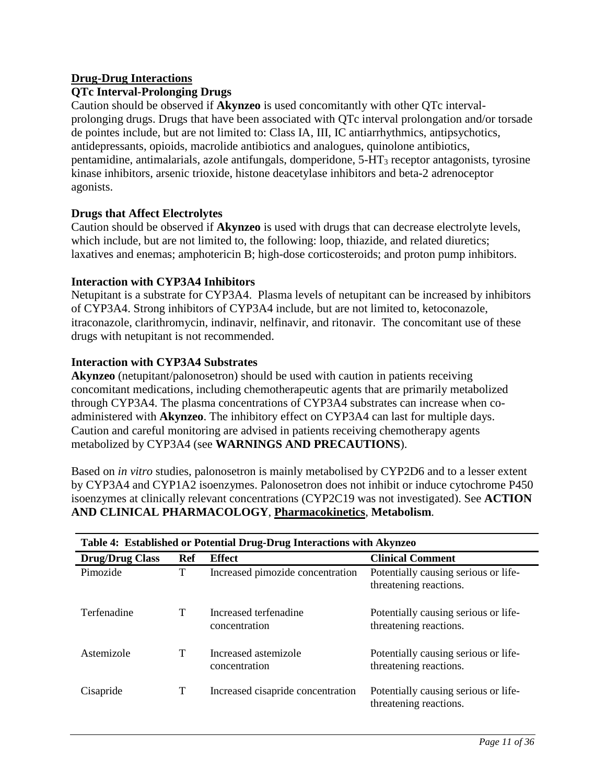### **Drug-Drug Interactions**

#### **QTc Interval-Prolonging Drugs**

Caution should be observed if **Akynzeo** is used concomitantly with other QTc intervalprolonging drugs. Drugs that have been associated with QTc interval prolongation and/or torsade de pointes include, but are not limited to: Class IA, III, IC antiarrhythmics, antipsychotics, antidepressants, opioids, macrolide antibiotics and analogues, quinolone antibiotics, pentamidine, antimalarials, azole antifungals, domperidone, 5-HT3 receptor antagonists, tyrosine kinase inhibitors, arsenic trioxide, histone deacetylase inhibitors and beta-2 adrenoceptor agonists.

#### **Drugs that Affect Electrolytes**

Caution should be observed if **Akynzeo** is used with drugs that can decrease electrolyte levels, which include, but are not limited to, the following: loop, thiazide, and related diuretics; laxatives and enemas; amphotericin B; high-dose corticosteroids; and proton pump inhibitors.

#### **Interaction with CYP3A4 Inhibitors**

Netupitant is a substrate for CYP3A4. Plasma levels of netupitant can be increased by inhibitors of CYP3A4. Strong inhibitors of CYP3A4 include, but are not limited to, ketoconazole, itraconazole, clarithromycin, indinavir, nelfinavir, and ritonavir. The concomitant use of these drugs with netupitant is not recommended.

#### **Interaction with CYP3A4 Substrates**

**Akynzeo** (netupitant/palonosetron) should be used with caution in patients receiving concomitant medications, including chemotherapeutic agents that are primarily metabolized through CYP3A4. The plasma concentrations of CYP3A4 substrates can increase when coadministered with **Akynzeo**. The inhibitory effect on CYP3A4 can last for multiple days. Caution and careful monitoring are advised in patients receiving chemotherapy agents metabolized by CYP3A4 (see **WARNINGS AND PRECAUTIONS**).

Based on *in vitro* studies, palonosetron is mainly metabolised by CYP2D6 and to a lesser extent by CYP3A4 and CYP1A2 isoenzymes. Palonosetron does not inhibit or induce cytochrome P450 isoenzymes at clinically relevant concentrations (CYP2C19 was not investigated). See **ACTION AND CLINICAL PHARMACOLOGY**, **Pharmacokinetics**, **Metabolism**.

| Table 4: Established or Potential Drug-Drug Interactions with Akynzeo |     |                                        |                                                                |
|-----------------------------------------------------------------------|-----|----------------------------------------|----------------------------------------------------------------|
| <b>Drug/Drug Class</b>                                                | Ref | <b>Effect</b>                          | <b>Clinical Comment</b>                                        |
| Pimozide                                                              | T   | Increased pimozide concentration       | Potentially causing serious or life-<br>threatening reactions. |
| Terfenadine                                                           | T   | Increased terfenadine<br>concentration | Potentially causing serious or life-<br>threatening reactions. |
| Astemizole                                                            | т   | Increased astemizole<br>concentration  | Potentially causing serious or life-<br>threatening reactions. |
| Cisapride                                                             | T   | Increased cisapride concentration      | Potentially causing serious or life-<br>threatening reactions. |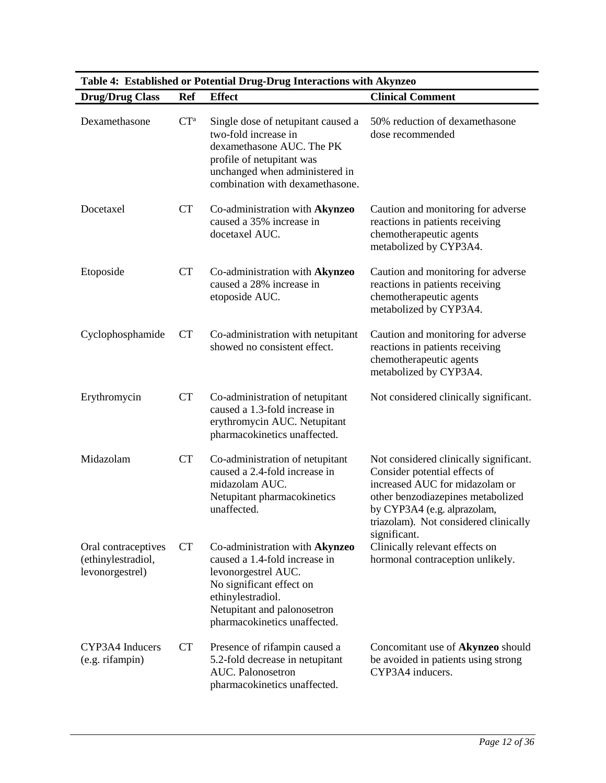| <b>Drug/Drug Class</b>                                       | <b>Ref</b> | Table 4. Established of Totential Drug-Drug Interactions with Akylizeo<br><b>Effect</b>                                                                                                                | <b>Clinical Comment</b>                                                                                                                                                                                                                |
|--------------------------------------------------------------|------------|--------------------------------------------------------------------------------------------------------------------------------------------------------------------------------------------------------|----------------------------------------------------------------------------------------------------------------------------------------------------------------------------------------------------------------------------------------|
|                                                              |            |                                                                                                                                                                                                        |                                                                                                                                                                                                                                        |
| Dexamethasone                                                | $CT^a$     | Single dose of netupitant caused a<br>two-fold increase in<br>dexamethasone AUC. The PK<br>profile of netupitant was<br>unchanged when administered in<br>combination with dexamethasone.              | 50% reduction of dexamethasone<br>dose recommended                                                                                                                                                                                     |
| Docetaxel                                                    | <b>CT</b>  | Co-administration with Akynzeo<br>caused a 35% increase in<br>docetaxel AUC.                                                                                                                           | Caution and monitoring for adverse<br>reactions in patients receiving<br>chemotherapeutic agents<br>metabolized by CYP3A4.                                                                                                             |
| Etoposide                                                    | <b>CT</b>  | Co-administration with Akynzeo<br>caused a 28% increase in<br>etoposide AUC.                                                                                                                           | Caution and monitoring for adverse<br>reactions in patients receiving<br>chemotherapeutic agents<br>metabolized by CYP3A4.                                                                                                             |
| Cyclophosphamide                                             | <b>CT</b>  | Co-administration with netupitant<br>showed no consistent effect.                                                                                                                                      | Caution and monitoring for adverse<br>reactions in patients receiving<br>chemotherapeutic agents<br>metabolized by CYP3A4.                                                                                                             |
| Erythromycin                                                 | <b>CT</b>  | Co-administration of netupitant<br>caused a 1.3-fold increase in<br>erythromycin AUC. Netupitant<br>pharmacokinetics unaffected.                                                                       | Not considered clinically significant.                                                                                                                                                                                                 |
| Midazolam                                                    | <b>CT</b>  | Co-administration of netupitant<br>caused a 2.4-fold increase in<br>midazolam AUC.<br>Netupitant pharmacokinetics<br>unaffected.                                                                       | Not considered clinically significant.<br>Consider potential effects of<br>increased AUC for midazolam or<br>other benzodiazepines metabolized<br>by CYP3A4 (e.g. alprazolam,<br>triazolam). Not considered clinically<br>significant. |
| Oral contraceptives<br>(ethinylestradiol,<br>levonorgestrel) | CT         | Co-administration with Akynzeo<br>caused a 1.4-fold increase in<br>levonorgestrel AUC.<br>No significant effect on<br>ethinylestradiol.<br>Netupitant and palonosetron<br>pharmacokinetics unaffected. | Clinically relevant effects on<br>hormonal contraception unlikely.                                                                                                                                                                     |
| CYP3A4 Inducers<br>(e.g. rifampin)                           | <b>CT</b>  | Presence of rifampin caused a<br>5.2-fold decrease in netupitant<br>AUC. Palonosetron<br>pharmacokinetics unaffected.                                                                                  | Concomitant use of Akynzeo should<br>be avoided in patients using strong<br>CYP3A4 inducers.                                                                                                                                           |

**Table 4: Established or Potential Drug-Drug Interactions with Akynzeo**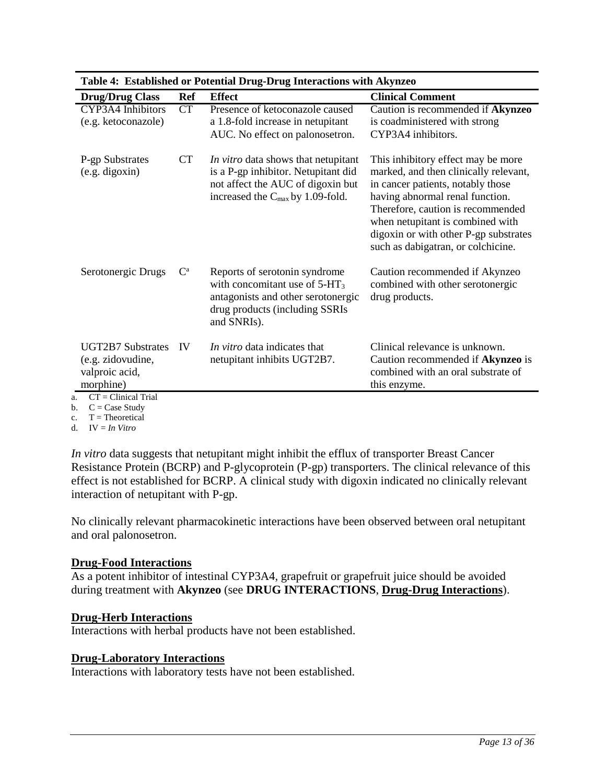| Table 4: Established of Fotential Drug-Drug Interactions with AKVIIZEO       |             |                                                                                                                                                                 |                                                                                                                                                                                                                                                                                                             |  |  |
|------------------------------------------------------------------------------|-------------|-----------------------------------------------------------------------------------------------------------------------------------------------------------------|-------------------------------------------------------------------------------------------------------------------------------------------------------------------------------------------------------------------------------------------------------------------------------------------------------------|--|--|
| <b>Drug/Drug Class</b>                                                       | Ref         | Effect                                                                                                                                                          | <b>Clinical Comment</b>                                                                                                                                                                                                                                                                                     |  |  |
| CYP3A4 Inhibitors<br>(e.g. ketoconazole)                                     | CT          | Presence of ketoconazole caused<br>a 1.8-fold increase in netupitant<br>AUC. No effect on palonosetron.                                                         | Caution is recommended if Akynzeo<br>is coadministered with strong<br>CYP3A4 inhibitors.                                                                                                                                                                                                                    |  |  |
| P-gp Substrates<br>(e.g. digoxin)                                            | CT          | In vitro data shows that netupitant<br>is a P-gp inhibitor. Netupitant did<br>not affect the AUC of digoxin but<br>increased the $C_{\text{max}}$ by 1.09-fold. | This inhibitory effect may be more<br>marked, and then clinically relevant,<br>in cancer patients, notably those<br>having abnormal renal function.<br>Therefore, caution is recommended<br>when netupitant is combined with<br>digoxin or with other P-gp substrates<br>such as dabigatran, or colchicine. |  |  |
| Serotonergic Drugs                                                           | $C^{\rm a}$ | Reports of serotonin syndrome<br>with concomitant use of $5-HT_3$<br>antagonists and other serotonergic<br>drug products (including SSRIs<br>and SNRIs).        | Caution recommended if Akynzeo<br>combined with other serotonergic<br>drug products.                                                                                                                                                                                                                        |  |  |
| <b>UGT2B7</b> Substrates<br>(e.g. zidovudine,<br>valproic acid,<br>morphine) | <b>IV</b>   | In vitro data indicates that<br>netupitant inhibits UGT2B7.                                                                                                     | Clinical relevance is unknown.<br>Caution recommended if Akynzeo is<br>combined with an oral substrate of<br>this enzyme.                                                                                                                                                                                   |  |  |
| $CT = Clinical Trial$                                                        |             |                                                                                                                                                                 |                                                                                                                                                                                                                                                                                                             |  |  |

**Table 4: Established or Potential Drug-Drug Interactions with Akynzeo**

<span id="page-12-1"></span><span id="page-12-0"></span>a. CT = Clinical Trial

b.  $C = Case Study$ 

c.  $T = Theoretical$ 

d. IV = *In Vitro*

*In vitro* data suggests that netupitant might inhibit the efflux of transporter Breast Cancer Resistance Protein (BCRP) and P-glycoprotein (P-gp) transporters. The clinical relevance of this effect is not established for BCRP. A clinical study with digoxin indicated no clinically relevant interaction of netupitant with P-gp.

No clinically relevant pharmacokinetic interactions have been observed between oral netupitant and oral palonosetron.

## **Drug-Food Interactions**

As a potent inhibitor of intestinal CYP3A4, grapefruit or grapefruit juice should be avoided during treatment with **Akynzeo** (see **DRUG INTERACTIONS**, **Drug-Drug Interactions**).

## **Drug-Herb Interactions**

Interactions with herbal products have not been established.

## **Drug-Laboratory Interactions**

Interactions with laboratory tests have not been established.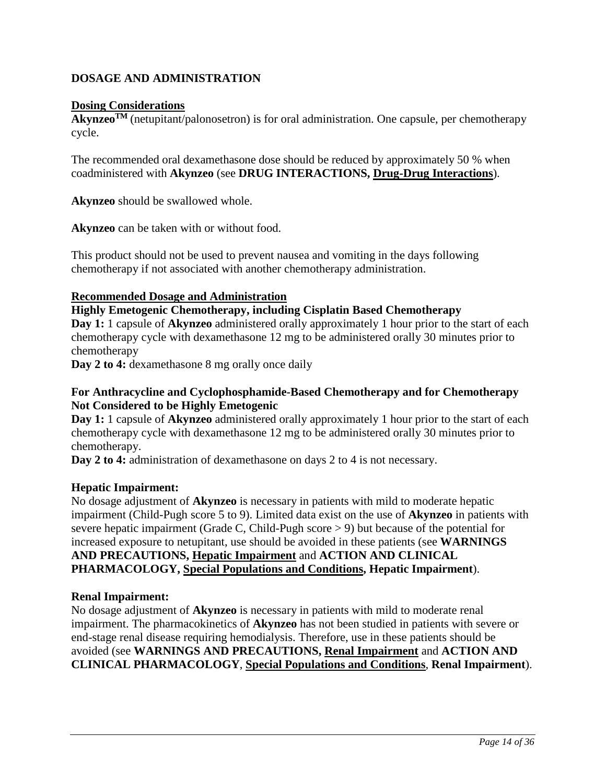# <span id="page-13-0"></span>**DOSAGE AND ADMINISTRATION**

### **Dosing Considerations**

**AkynzeoTM** (netupitant/palonosetron) is for oral administration. One capsule, per chemotherapy cycle.

The recommended oral dexamethasone dose should be reduced by approximately 50 % when coadministered with **Akynzeo** (see **DRUG INTERACTIONS, Drug-Drug Interactions**).

**Akynzeo** should be swallowed whole.

**Akynzeo** can be taken with or without food.

This product should not be used to prevent nausea and vomiting in the days following chemotherapy if not associated with another chemotherapy administration.

### **Recommended Dosage and Administration**

#### **Highly Emetogenic Chemotherapy, including Cisplatin Based Chemotherapy**

**Day 1:** 1 capsule of **Akynzeo** administered orally approximately 1 hour prior to the start of each chemotherapy cycle with dexamethasone 12 mg to be administered orally 30 minutes prior to chemotherapy

**Day 2 to 4:** dexamethasone 8 mg orally once daily

#### **For Anthracycline and Cyclophosphamide-Based Chemotherapy and for Chemotherapy Not Considered to be Highly Emetogenic**

**Day 1:** 1 capsule of **Akynzeo** administered orally approximately 1 hour prior to the start of each chemotherapy cycle with dexamethasone 12 mg to be administered orally 30 minutes prior to chemotherapy.

**Day 2 to 4:** administration of dexamethasone on days 2 to 4 is not necessary.

#### **Hepatic Impairment:**

No dosage adjustment of **Akynzeo** is necessary in patients with mild to moderate hepatic impairment (Child-Pugh score 5 to 9). Limited data exist on the use of **Akynzeo** in patients with severe hepatic impairment (Grade C, Child-Pugh score > 9) but because of the potential for increased exposure to netupitant, use should be avoided in these patients (see **WARNINGS AND PRECAUTIONS, Hepatic Impairment** and **ACTION AND CLINICAL PHARMACOLOGY, Special Populations and Conditions, Hepatic Impairment**).

#### **Renal Impairment:**

No dosage adjustment of **Akynzeo** is necessary in patients with mild to moderate renal impairment. The pharmacokinetics of **Akynzeo** has not been studied in patients with severe or end-stage renal disease requiring hemodialysis. Therefore, use in these patients should be avoided (see **WARNINGS AND PRECAUTIONS, Renal Impairment** and **ACTION AND CLINICAL PHARMACOLOGY**, **Special Populations and Conditions**, **Renal Impairment**).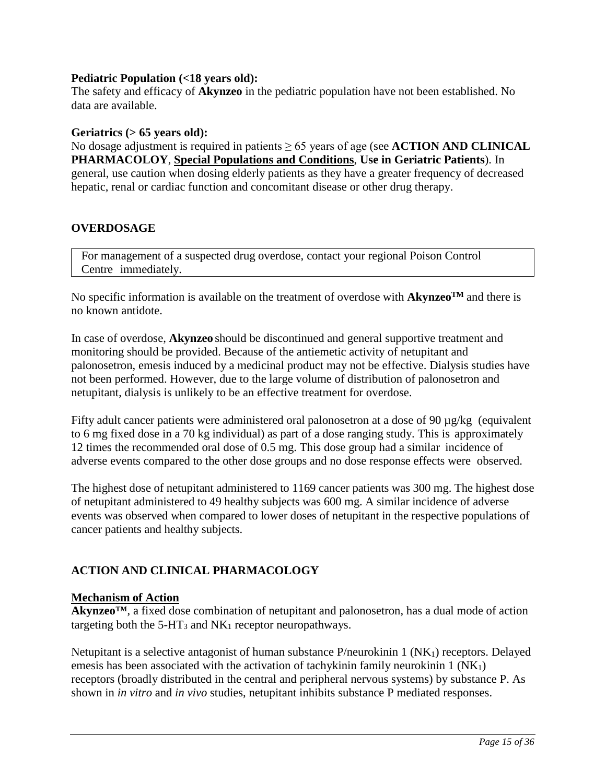### **Pediatric Population (<18 years old):**

The safety and efficacy of **Akynzeo** in the pediatric population have not been established. No data are available.

#### **Geriatrics (> 65 years old):**

No dosage adjustment is required in patients ≥ 65 years of age (see **ACTION AND CLINICAL PHARMACOLOY**, **Special Populations and Conditions**, **Use in Geriatric Patients**). In general, use caution when dosing elderly patients as they have a greater frequency of decreased hepatic, renal or cardiac function and concomitant disease or other drug therapy.

### <span id="page-14-0"></span>**OVERDOSAGE**

For management of a suspected drug overdose, contact your regional Poison Control Centre immediately.

No specific information is available on the treatment of overdose with  $Akynzeo<sup>TM</sup>$  and there is no known antidote.

In case of overdose, **Akynzeo** should be discontinued and general supportive treatment and monitoring should be provided. Because of the antiemetic activity of netupitant and palonosetron, emesis induced by a medicinal product may not be effective. Dialysis studies have not been performed. However, due to the large volume of distribution of palonosetron and netupitant, dialysis is unlikely to be an effective treatment for overdose.

Fifty adult cancer patients were administered oral palonosetron at a dose of 90  $\mu$ g/kg (equivalent to 6 mg fixed dose in a 70 kg individual) as part of a dose ranging study. This is approximately 12 times the recommended oral dose of 0.5 mg. This dose group had a similar incidence of adverse events compared to the other dose groups and no dose response effects were observed.

The highest dose of netupitant administered to 1169 cancer patients was 300 mg. The highest dose of netupitant administered to 49 healthy subjects was 600 mg. A similar incidence of adverse events was observed when compared to lower doses of netupitant in the respective populations of cancer patients and healthy subjects.

## <span id="page-14-1"></span>**ACTION AND CLINICAL PHARMACOLOGY**

#### **Mechanism of Action**

**Akynzeo™**, a fixed dose combination of netupitant and palonosetron, has a dual mode of action targeting both the  $5-HT_3$  and  $NK_1$  receptor neuropathways.

Netupitant is a selective antagonist of human substance P/neurokinin 1 (NK<sub>1</sub>) receptors. Delayed emesis has been associated with the activation of tachykinin family neurokinin  $1(NK_1)$ receptors (broadly distributed in the central and peripheral nervous systems) by substance P. As shown in *in vitro* and *in vivo* studies, netupitant inhibits substance P mediated responses.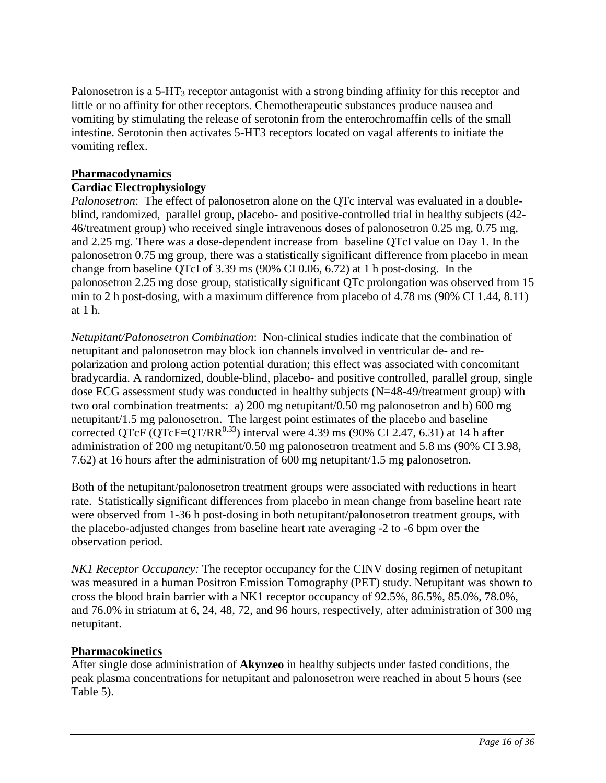Palonosetron is a 5-HT<sub>3</sub> receptor antagonist with a strong binding affinity for this receptor and little or no affinity for other receptors. Chemotherapeutic substances produce nausea and vomiting by stimulating the release of serotonin from the enterochromaffin cells of the small intestine. Serotonin then activates 5-HT3 receptors located on vagal afferents to initiate the vomiting reflex.

### **Pharmacodynamics**

### **Cardiac Electrophysiology**

*Palonosetron*: The effect of palonosetron alone on the QTc interval was evaluated in a doubleblind, randomized, parallel group, placebo- and positive-controlled trial in healthy subjects (42- 46/treatment group) who received single intravenous doses of palonosetron 0.25 mg, 0.75 mg, and 2.25 mg. There was a dose-dependent increase from baseline QTcI value on Day 1. In the palonosetron 0.75 mg group, there was a statistically significant difference from placebo in mean change from baseline QTcI of 3.39 ms (90% CI 0.06, 6.72) at 1 h post-dosing. In the palonosetron 2.25 mg dose group, statistically significant QTc prolongation was observed from 15 min to 2 h post-dosing, with a maximum difference from placebo of 4.78 ms (90% CI 1.44, 8.11) at 1 h.

*Netupitant/Palonosetron Combination*: Non-clinical studies indicate that the combination of netupitant and palonosetron may block ion channels involved in ventricular de- and repolarization and prolong action potential duration; this effect was associated with concomitant bradycardia. A randomized, double-blind, placebo- and positive controlled, parallel group, single dose ECG assessment study was conducted in healthy subjects (N=48-49/treatment group) with two oral combination treatments: a) 200 mg netupitant/0.50 mg palonosetron and b) 600 mg netupitant/1.5 mg palonosetron. The largest point estimates of the placebo and baseline corrected QTcF (QTcF=QT/RR<sup>0.33</sup>) interval were 4.39 ms (90% CI 2.47, 6.31) at 14 h after administration of 200 mg netupitant/0.50 mg palonosetron treatment and 5.8 ms (90% CI 3.98, 7.62) at 16 hours after the administration of 600 mg netupitant/1.5 mg palonosetron.

Both of the netupitant/palonosetron treatment groups were associated with reductions in heart rate. Statistically significant differences from placebo in mean change from baseline heart rate were observed from 1-36 h post-dosing in both netupitant/palonosetron treatment groups, with the placebo-adjusted changes from baseline heart rate averaging -2 to -6 bpm over the observation period.

*NK1 Receptor Occupancy:* The receptor occupancy for the CINV dosing regimen of netupitant was measured in a human Positron Emission Tomography (PET) study. Netupitant was shown to cross the blood brain barrier with a NK1 receptor occupancy of 92.5%, 86.5%, 85.0%, 78.0%, and 76.0% in striatum at 6, 24, 48, 72, and 96 hours, respectively, after administration of 300 mg netupitant.

#### **Pharmacokinetics**

After single dose administration of **Akynzeo** in healthy subjects under fasted conditions, the peak plasma concentrations for netupitant and palonosetron were reached in about 5 hours (see [Table 5\)](#page-16-0).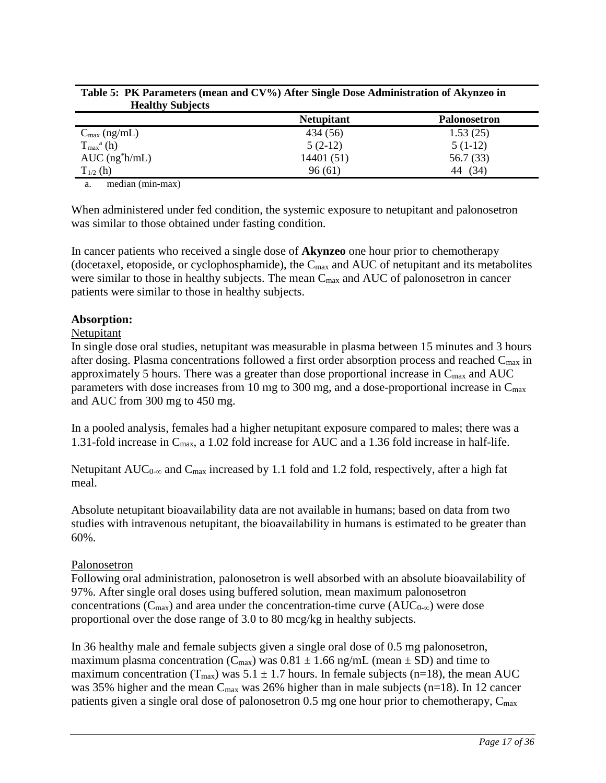| <b>HUGHLIF</b> DUDJULO                |                   |                     |
|---------------------------------------|-------------------|---------------------|
|                                       | <b>Netupitant</b> | <b>Palonosetron</b> |
| $C_{\text{max}}$ (ng/mL)              | 434 (56)          | 1.53(25)            |
| $T_{\text{max}}^{\text{a}}\text{(h)}$ | $5(2-12)$         | $5(1-12)$           |
| $AUC$ (ng $ h/mL$ )                   | 14401 (51)        | 56.7 (33)           |
| $T_{1/2}$ (h)                         | 96(61)            | (34)<br>44          |
| .                                     |                   |                     |

<span id="page-16-0"></span>

| Table 5: PK Parameters (mean and CV%) After Single Dose Administration of Akynzeo in |  |
|--------------------------------------------------------------------------------------|--|
| <b>Healthy Subjects</b>                                                              |  |

<span id="page-16-1"></span>a. median (min-max)

When administered under fed condition, the systemic exposure to netupitant and palonosetron was similar to those obtained under fasting condition.

In cancer patients who received a single dose of **Akynzeo** one hour prior to chemotherapy (docetaxel, etoposide, or cyclophosphamide), the  $C_{\text{max}}$  and AUC of netupitant and its metabolites were similar to those in healthy subjects. The mean  $C_{\text{max}}$  and AUC of palonosetron in cancer patients were similar to those in healthy subjects.

#### **Absorption:**

#### Netupitant

In single dose oral studies, netupitant was measurable in plasma between 15 minutes and 3 hours after dosing. Plasma concentrations followed a first order absorption process and reached Cmax in approximately 5 hours. There was a greater than dose proportional increase in  $C_{\text{max}}$  and  $AUC$ parameters with dose increases from 10 mg to 300 mg, and a dose-proportional increase in  $C_{\text{max}}$ and AUC from 300 mg to 450 mg.

In a pooled analysis, females had a higher netupitant exposure compared to males; there was a 1.31-fold increase in Cmax, a 1.02 fold increase for AUC and a 1.36 fold increase in half-life.

Netupitant AUC<sub>0-∞</sub> and C<sub>max</sub> increased by 1.1 fold and 1.2 fold, respectively, after a high fat meal.

Absolute netupitant bioavailability data are not available in humans; based on data from two studies with intravenous netupitant, the bioavailability in humans is estimated to be greater than 60%.

#### Palonosetron

Following oral administration, palonosetron is well absorbed with an absolute bioavailability of 97%. After single oral doses using buffered solution, mean maximum palonosetron concentrations ( $C_{\text{max}}$ ) and area under the concentration-time curve ( $AUC_{0-\infty}$ ) were dose proportional over the dose range of 3.0 to 80 mcg/kg in healthy subjects.

In 36 healthy male and female subjects given a single oral dose of 0.5 mg palonosetron, maximum plasma concentration ( $C_{\text{max}}$ ) was  $0.81 \pm 1.66$  ng/mL (mean  $\pm$  SD) and time to maximum concentration ( $T_{\text{max}}$ ) was 5.1  $\pm$  1.7 hours. In female subjects (n=18), the mean AUC was 35% higher and the mean  $C_{\text{max}}$  was 26% higher than in male subjects (n=18). In 12 cancer patients given a single oral dose of palonosetron 0.5 mg one hour prior to chemotherapy, C<sub>max</sub>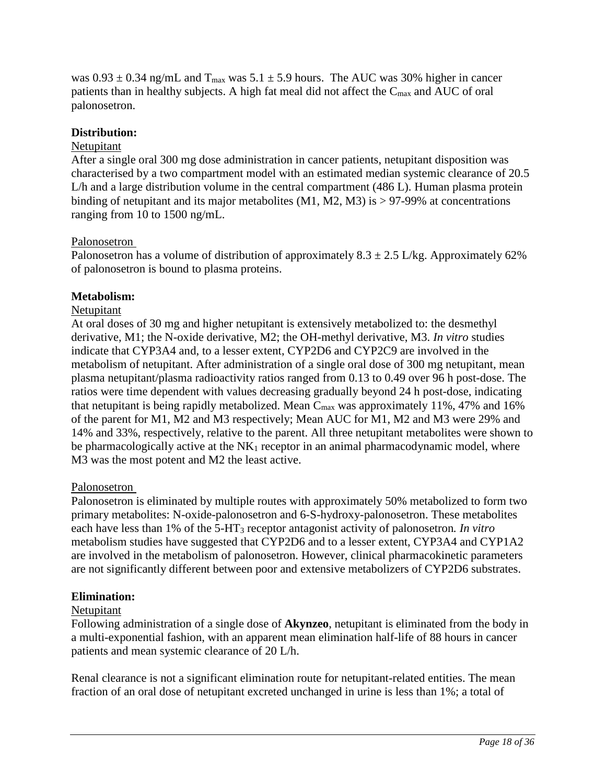was  $0.93 \pm 0.34$  ng/mL and T<sub>max</sub> was  $5.1 \pm 5.9$  hours. The AUC was 30% higher in cancer patients than in healthy subjects. A high fat meal did not affect the Cmax and AUC of oral palonosetron.

### **Distribution:**

#### Netupitant

After a single oral 300 mg dose administration in cancer patients, netupitant disposition was characterised by a two compartment model with an estimated median systemic clearance of 20.5 L/h and a large distribution volume in the central compartment (486 L). Human plasma protein binding of netupitant and its major metabolites  $(M1, M2, M3)$  is  $> 97-99\%$  at concentrations ranging from 10 to 1500 ng/mL.

### Palonosetron

Palonosetron has a volume of distribution of approximately  $8.3 \pm 2.5$  L/kg. Approximately 62% of palonosetron is bound to plasma proteins.

### **Metabolism:**

#### Netupitant

At oral doses of 30 mg and higher netupitant is extensively metabolized to: the desmethyl derivative, M1; the N-oxide derivative, M2; the OH-methyl derivative, M3. *In vitro* studies indicate that CYP3A4 and, to a lesser extent, CYP2D6 and CYP2C9 are involved in the metabolism of netupitant. After administration of a single oral dose of 300 mg netupitant, mean plasma netupitant/plasma radioactivity ratios ranged from 0.13 to 0.49 over 96 h post-dose. The ratios were time dependent with values decreasing gradually beyond 24 h post-dose, indicating that netupitant is being rapidly metabolized. Mean  $C_{\text{max}}$  was approximately 11%, 47% and 16% of the parent for M1, M2 and M3 respectively; Mean AUC for M1, M2 and M3 were 29% and 14% and 33%, respectively, relative to the parent. All three netupitant metabolites were shown to be pharmacologically active at the  $NK_1$  receptor in an animal pharmacodynamic model, where M3 was the most potent and M2 the least active.

#### Palonosetron

Palonosetron is eliminated by multiple routes with approximately 50% metabolized to form two primary metabolites: N-oxide-palonosetron and 6-S-hydroxy-palonosetron. These metabolites each have less than 1% of the 5-HT3 receptor antagonist activity of palonosetron*. In vitro* metabolism studies have suggested that CYP2D6 and to a lesser extent, CYP3A4 and CYP1A2 are involved in the metabolism of palonosetron. However, clinical pharmacokinetic parameters are not significantly different between poor and extensive metabolizers of CYP2D6 substrates.

#### **Elimination:**

#### Netupitant

Following administration of a single dose of **Akynzeo**, netupitant is eliminated from the body in a multi-exponential fashion, with an apparent mean elimination half-life of 88 hours in cancer patients and mean systemic clearance of 20 L/h.

Renal clearance is not a significant elimination route for netupitant-related entities. The mean fraction of an oral dose of netupitant excreted unchanged in urine is less than 1%; a total of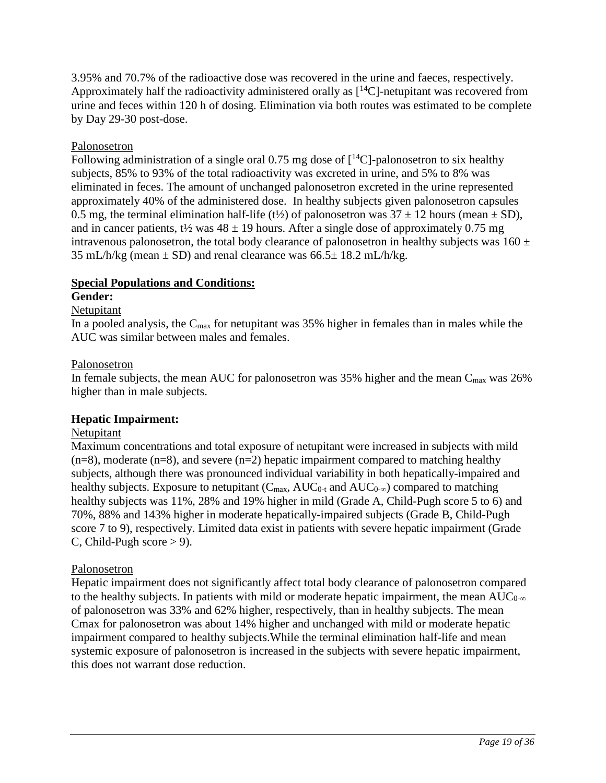3.95% and 70.7% of the radioactive dose was recovered in the urine and faeces, respectively. Approximately half the radioactivity administered orally as  $[14C]$ -netupitant was recovered from urine and feces within 120 h of dosing. Elimination via both routes was estimated to be complete by Day 29-30 post-dose.

## Palonosetron

Following administration of a single oral 0.75 mg dose of  $\lceil {^{14}C} \rceil$ -palonosetron to six healthy subjects, 85% to 93% of the total radioactivity was excreted in urine, and 5% to 8% was eliminated in feces. The amount of unchanged palonosetron excreted in the urine represented approximately 40% of the administered dose. In healthy subjects given palonosetron capsules 0.5 mg, the terminal elimination half-life (t<sup> $\frac{1}{2}$ </sup>) of palonosetron was  $37 \pm 12$  hours (mean  $\pm$  SD), and in cancer patients,  $t\frac{1}{2}$  was  $48 \pm 19$  hours. After a single dose of approximately 0.75 mg intravenous palonosetron, the total body clearance of palonosetron in healthy subjects was  $160 \pm$ 35 mL/h/kg (mean  $\pm$  SD) and renal clearance was 66.5 $\pm$  18.2 mL/h/kg.

## **Special Populations and Conditions:**

## **Gender:**

### Netupitant

In a pooled analysis, the  $C_{\text{max}}$  for netupitant was 35% higher in females than in males while the AUC was similar between males and females.

### Palonosetron

In female subjects, the mean AUC for palonosetron was  $35\%$  higher and the mean  $C_{\text{max}}$  was  $26\%$ higher than in male subjects.

## **Hepatic Impairment:**

#### Netupitant

Maximum concentrations and total exposure of netupitant were increased in subjects with mild  $(n=8)$ , moderate  $(n=8)$ , and severe  $(n=2)$  hepatic impairment compared to matching healthy subjects, although there was pronounced individual variability in both hepatically-impaired and healthy subjects. Exposure to netupitant  $(C_{\text{max}}$ , AUC<sub>0-t</sub> and AUC<sub>0-∞</sub>) compared to matching healthy subjects was 11%, 28% and 19% higher in mild (Grade A, Child-Pugh score 5 to 6) and 70%, 88% and 143% higher in moderate hepatically-impaired subjects (Grade B, Child-Pugh score 7 to 9), respectively. Limited data exist in patients with severe hepatic impairment (Grade C, Child-Pugh score  $> 9$ ).

## Palonosetron

Hepatic impairment does not significantly affect total body clearance of palonosetron compared to the healthy subjects. In patients with mild or moderate hepatic impairment, the mean  $AUC_{0-\infty}$ of palonosetron was 33% and 62% higher, respectively, than in healthy subjects. The mean Cmax for palonosetron was about 14% higher and unchanged with mild or moderate hepatic impairment compared to healthy subjects.While the terminal elimination half-life and mean systemic exposure of palonosetron is increased in the subjects with severe hepatic impairment, this does not warrant dose reduction.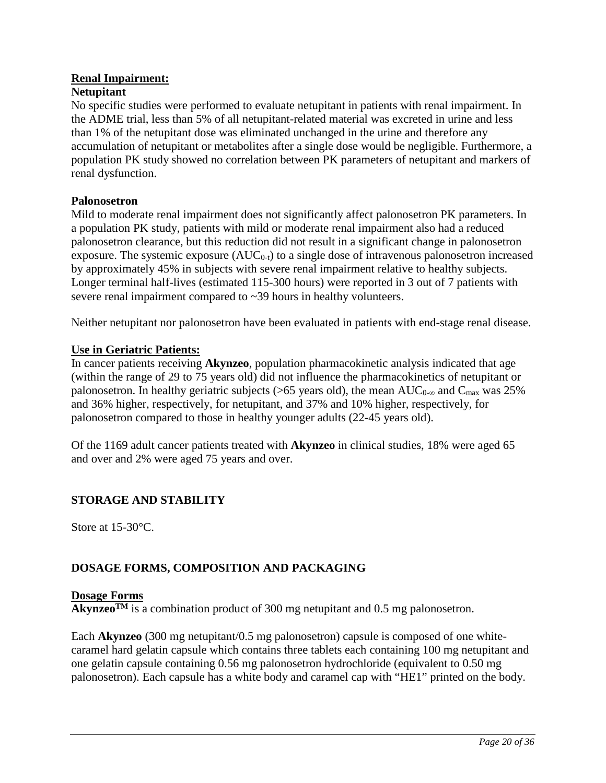# **Renal Impairment:**

### **Netupitant**

No specific studies were performed to evaluate netupitant in patients with renal impairment. In the ADME trial, less than 5% of all netupitant-related material was excreted in urine and less than 1% of the netupitant dose was eliminated unchanged in the urine and therefore any accumulation of netupitant or metabolites after a single dose would be negligible. Furthermore, a population PK study showed no correlation between PK parameters of netupitant and markers of renal dysfunction.

#### **Palonosetron**

Mild to moderate renal impairment does not significantly affect palonosetron PK parameters. In a population PK study, patients with mild or moderate renal impairment also had a reduced palonosetron clearance, but this reduction did not result in a significant change in palonosetron exposure. The systemic exposure  $(AUC_{0-t})$  to a single dose of intravenous palonosetron increased by approximately 45% in subjects with severe renal impairment relative to healthy subjects. Longer terminal half-lives (estimated 115-300 hours) were reported in 3 out of 7 patients with severe renal impairment compared to ~39 hours in healthy volunteers.

Neither netupitant nor palonosetron have been evaluated in patients with end-stage renal disease.

#### **Use in Geriatric Patients:**

In cancer patients receiving **Akynzeo**, population pharmacokinetic analysis indicated that age (within the range of 29 to 75 years old) did not influence the pharmacokinetics of netupitant or palonosetron. In healthy geriatric subjects (>65 years old), the mean  $AUC_{0-\infty}$  and  $C_{\max}$  was 25% and 36% higher, respectively, for netupitant, and 37% and 10% higher, respectively, for palonosetron compared to those in healthy younger adults (22-45 years old).

Of the 1169 adult cancer patients treated with **Akynzeo** in clinical studies, 18% were aged 65 and over and 2% were aged 75 years and over.

## <span id="page-19-0"></span>**STORAGE AND STABILITY**

Store at 15-30 °C.

# <span id="page-19-1"></span>**DOSAGE FORMS, COMPOSITION AND PACKAGING**

#### **Dosage Forms**

**Akynzeo**<sup>TM</sup> is a combination product of 300 mg netupitant and 0.5 mg palonosetron.

Each **Akynzeo** (300 mg netupitant/0.5 mg palonosetron) capsule is composed of one whitecaramel hard gelatin capsule which contains three tablets each containing 100 mg netupitant and one gelatin capsule containing 0.56 mg palonosetron hydrochloride (equivalent to 0.50 mg palonosetron). Each capsule has a white body and caramel cap with "HE1" printed on the body.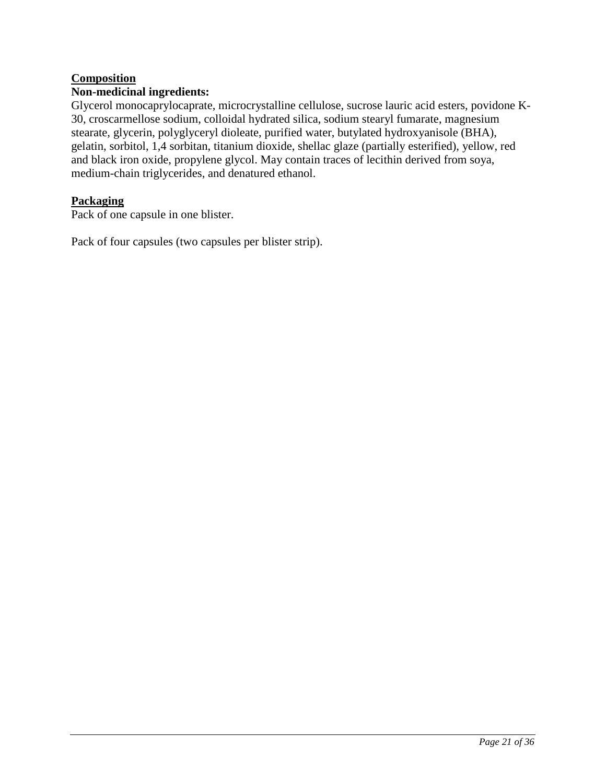## **Composition**

### **Non-medicinal ingredients:**

Glycerol monocaprylocaprate, microcrystalline cellulose, sucrose lauric acid esters, povidone K-30, croscarmellose sodium, colloidal hydrated silica, sodium stearyl fumarate, magnesium stearate, glycerin, polyglyceryl dioleate, purified water, butylated hydroxyanisole (BHA), gelatin, sorbitol, 1,4 sorbitan, titanium dioxide, shellac glaze (partially esterified), yellow, red and black iron oxide, propylene glycol. May contain traces of lecithin derived from soya, medium-chain triglycerides, and denatured ethanol.

### **Packaging**

Pack of one capsule in one blister.

Pack of four capsules (two capsules per blister strip).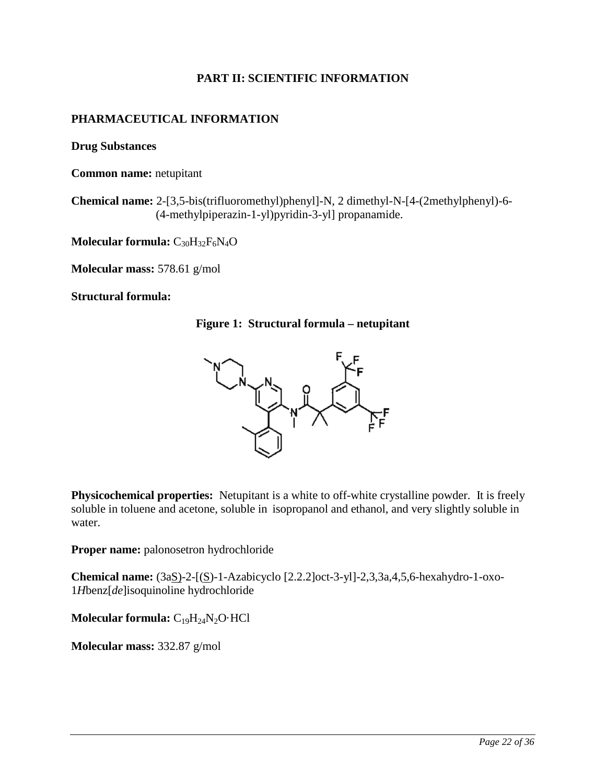## **PART II: SCIENTIFIC INFORMATION**

## <span id="page-21-1"></span><span id="page-21-0"></span>**PHARMACEUTICAL INFORMATION**

**Drug Substances**

**Common name:** netupitant

**Chemical name:** 2-[3,5-bis(trifluoromethyl)phenyl]-N, 2 dimethyl-N-[4-(2methylphenyl)-6- (4-methylpiperazin-1-yl)pyridin-3-yl] propanamide.

**Molecular formula:** C30H32F6N4O

**Molecular mass:** 578.61 g/mol

#### **Structural formula:**

#### **Figure 1: Structural formula – netupitant**



**Physicochemical properties:** Netupitant is a white to off-white crystalline powder. It is freely soluble in toluene and acetone, soluble in isopropanol and ethanol, and very slightly soluble in water.

**Proper name:** palonosetron hydrochloride

**Chemical name:** (3aS)-2-[(S)-1-Azabicyclo [2.2.2]oct-3-yl]-2,3,3a,4,5,6-hexahydro-1-oxo-1*H*benz[*de*]isoquinoline hydrochloride

**Molecular formula:**  $C_{19}H_{24}N_2O \cdot HCl$ 

**Molecular mass:** 332.87 g/mol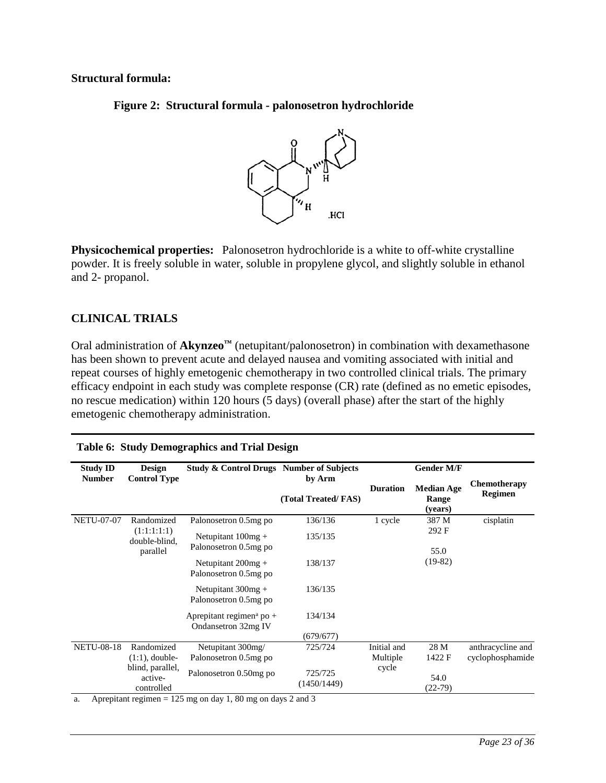## **Structural formula:**

**Figure 2: Structural formula - palonosetron hydrochloride**



**Physicochemical properties:** Palonosetron hydrochloride is a white to off-white crystalline powder. It is freely soluble in water, soluble in propylene glycol, and slightly soluble in ethanol and 2- propanol.

# <span id="page-22-0"></span>**CLINICAL TRIALS**

Oral administration of **Akynzeo™** (netupitant/palonosetron) in combination with dexamethasone has been shown to prevent acute and delayed nausea and vomiting associated with initial and repeat courses of highly emetogenic chemotherapy in two controlled clinical trials. The primary efficacy endpoint in each study was complete response (CR) rate (defined as no emetic episodes, no rescue medication) within 120 hours (5 days) (overall phase) after the start of the highly emetogenic chemotherapy administration.

<span id="page-22-1"></span>

| <b>Study ID</b>   | <b>Design</b>                             | <b>Study &amp; Control Drugs Number of Subjects</b>         |                               |                         | <b>Gender M/F</b>                     |                                       |
|-------------------|-------------------------------------------|-------------------------------------------------------------|-------------------------------|-------------------------|---------------------------------------|---------------------------------------|
| <b>Number</b>     | <b>Control Type</b>                       |                                                             | by Arm<br>(Total Treated/FAS) | <b>Duration</b>         | <b>Median Age</b><br>Range<br>(years) | <b>Chemotherapy</b><br><b>Regimen</b> |
| <b>NETU-07-07</b> | Randomized                                | Palonosetron 0.5mg po                                       | 136/136                       | 1 cycle                 | 387 M                                 | cisplatin                             |
|                   | (1:1:1:1:1)<br>double-blind,              | Netupitant $100mg +$<br>Palonosetron 0.5mg po               | 135/135                       | 292 F                   |                                       |                                       |
|                   | parallel                                  | Netupitant $200mg +$<br>Palonosetron 0.5mg po               | 138/137                       |                         | 55.0<br>$(19-82)$                     |                                       |
|                   |                                           | Netupitant $300mg +$<br>Palonosetron 0.5mg po               | 136/135                       |                         |                                       |                                       |
|                   |                                           | Aprepitant regimen <sup>a</sup> po +<br>Ondansetron 32mg IV | 134/134                       |                         |                                       |                                       |
|                   |                                           |                                                             | (679/677)                     |                         |                                       |                                       |
| <b>NETU-08-18</b> | Randomized<br>$(1:1)$ , double-           | Netupitant 300mg/<br>Palonosetron 0.5mg po                  | 725/724                       | Initial and<br>Multiple | 28 M<br>1422 F                        | anthracycline and<br>cyclophosphamide |
|                   | blind, parallel,<br>active-<br>controlled | Palonosetron 0.50mg po                                      | 725/725<br>(1450/1449)        | cycle                   | 54.0<br>$(22-79)$                     |                                       |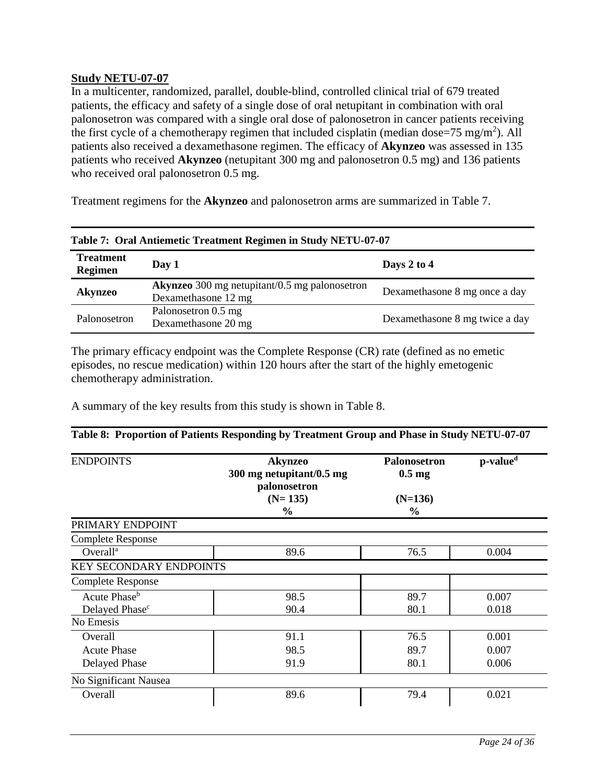### **Study NETU-07-07**

In a multicenter, randomized, parallel, double-blind, controlled clinical trial of 679 treated patients, the efficacy and safety of a single dose of oral netupitant in combination with oral palonosetron was compared with a single oral dose of palonosetron in cancer patients receiving the first cycle of a chemotherapy regimen that included cisplatin (median dose=75 mg/m<sup>2</sup>). All patients also received a dexamethasone regimen. The efficacy of **Akynzeo** was assessed in 135 patients who received **Akynzeo** (netupitant 300 mg and palonosetron 0.5 mg) and 136 patients who received oral palonosetron 0.5 mg.

Treatment regimens for the **Akynzeo** and palonosetron arms are summarized in [Table 7.](#page-23-0)

<span id="page-23-0"></span>

| Table 7: Oral Antiemetic Treatment Regimen in Study NETU-07-07 |                                                                             |                                |  |  |
|----------------------------------------------------------------|-----------------------------------------------------------------------------|--------------------------------|--|--|
| <b>Treatment</b><br><b>Regimen</b>                             | Day 1                                                                       | Days 2 to $4$                  |  |  |
| Akynzeo                                                        | <b>Akynzeo</b> 300 mg netupitant/0.5 mg palonosetron<br>Dexamethasone 12 mg | Dexamethasone 8 mg once a day  |  |  |
| Palonosetron                                                   | Palonosetron 0.5 mg<br>Dexamethasone 20 mg                                  | Dexamethasone 8 mg twice a day |  |  |

The primary efficacy endpoint was the Complete Response (CR) rate (defined as no emetic episodes, no rescue medication) within 120 hours after the start of the highly emetogenic chemotherapy administration.

A summary of the key results from this study is shown in [Table 8.](#page-23-1)

#### ENDPOINTS **Akynzeo 300 mg netupitant/0.5 mg palonosetron (N= 135) % Palonosetron 0.5 mg (N=136) % p-valu[ed](#page-24-0)** PRIMARY ENDPOINT Complete Response Overall<sup>a</sup> 89.6 76.5 0.004 KEY SECONDARY ENDPOINTS Complete Response Acute Phase<sup>b</sup> 1 98.5 89.7 0.007 Delayed Phase<sup>c</sup> 90.4 80.1 80.1 0.018 No Emesis Overall 91.1 91.1 76.5 0.001 Acute Phase 198.5 89.7 0.007 Delayed Phase 91.9 91.9 80.1 0.006 No Significant Nausea Overall 89.6 79.4 0.021

#### <span id="page-23-1"></span>**Table 8: Proportion of Patients Responding by Treatment Group and Phase in Study NETU-07-07**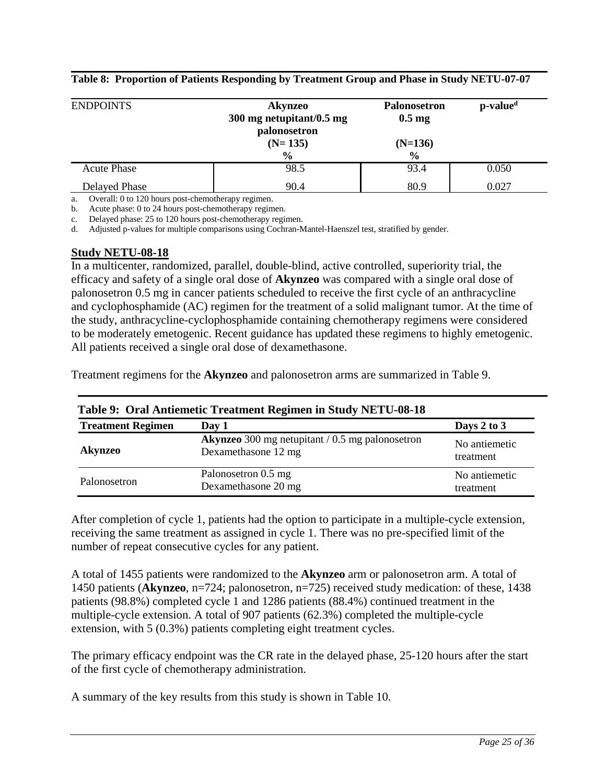| <b>ENDPOINTS</b>     | Akynzeo<br>300 mg netupitant/0.5 mg<br>palonosetron | <b>Palonosetron</b><br>$0.5 \text{ mg}$ | p-value <sup>d</sup> |
|----------------------|-----------------------------------------------------|-----------------------------------------|----------------------|
|                      | $(N=135)$<br>$\frac{0}{0}$                          | $(N=136)$<br>$\frac{0}{0}$              |                      |
| <b>Acute Phase</b>   | 98.5                                                | 93.4                                    | 0.050                |
| <b>Delayed Phase</b> | 90.4                                                | 80.9                                    | 0.027                |

**Table 8: Proportion of Patients Responding by Treatment Group and Phase in Study NETU-07-07**

<span id="page-24-1"></span>a. Overall: 0 to 120 hours post-chemotherapy regimen.

<span id="page-24-2"></span>b. Acute phase: 0 to 24 hours post-chemotherapy regimen.

<span id="page-24-3"></span>c. Delayed phase: 25 to 120 hours post-chemotherapy regimen.

<span id="page-24-0"></span>d. Adjusted p-values for multiple comparisons using Cochran-Mantel-Haenszel test, stratified by gender.

#### **Study NETU-08-18**

In a multicenter, randomized, parallel, double-blind, active controlled, superiority trial, the efficacy and safety of a single oral dose of **Akynzeo** was compared with a single oral dose of palonosetron 0.5 mg in cancer patients scheduled to receive the first cycle of an anthracycline and cyclophosphamide (AC) regimen for the treatment of a solid malignant tumor. At the time of the study, anthracycline-cyclophosphamide containing chemotherapy regimens were considered to be moderately emetogenic. Recent guidance has updated these regimens to highly emetogenic. All patients received a single oral dose of dexamethasone.

Treatment regimens for the **Akynzeo** and palonosetron arms are summarized in [Table 9.](#page-24-4)

<span id="page-24-4"></span>

| Table 9: Oral Antiemetic Treatment Regimen in Study NETU-08-18 |                                                                                 |                            |  |  |
|----------------------------------------------------------------|---------------------------------------------------------------------------------|----------------------------|--|--|
| <b>Treatment Regimen</b>                                       | Day 1                                                                           | Days $2$ to $3$            |  |  |
| <b>Akynzeo</b>                                                 | <b>Akynzeo</b> 300 mg netupitant $/ 0.5$ mg palonosetron<br>Dexamethasone 12 mg | No antiemetic<br>treatment |  |  |
| Palonosetron                                                   | Palonosetron 0.5 mg<br>Dexamethasone 20 mg                                      | No antiemetic<br>treatment |  |  |

After completion of cycle 1, patients had the option to participate in a multiple-cycle extension, receiving the same treatment as assigned in cycle 1. There was no pre-specified limit of the number of repeat consecutive cycles for any patient.

A total of 1455 patients were randomized to the **Akynzeo** arm or palonosetron arm. A total of 1450 patients (**Akynzeo**, n=724; palonosetron, n=725) received study medication: of these, 1438 patients (98.8%) completed cycle 1 and 1286 patients (88.4%) continued treatment in the multiple-cycle extension. A total of 907 patients (62.3%) completed the multiple-cycle extension, with 5 (0.3%) patients completing eight treatment cycles.

The primary efficacy endpoint was the CR rate in the delayed phase, 25-120 hours after the start of the first cycle of chemotherapy administration.

A summary of the key results from this study is shown in [Table 10.](#page-25-1)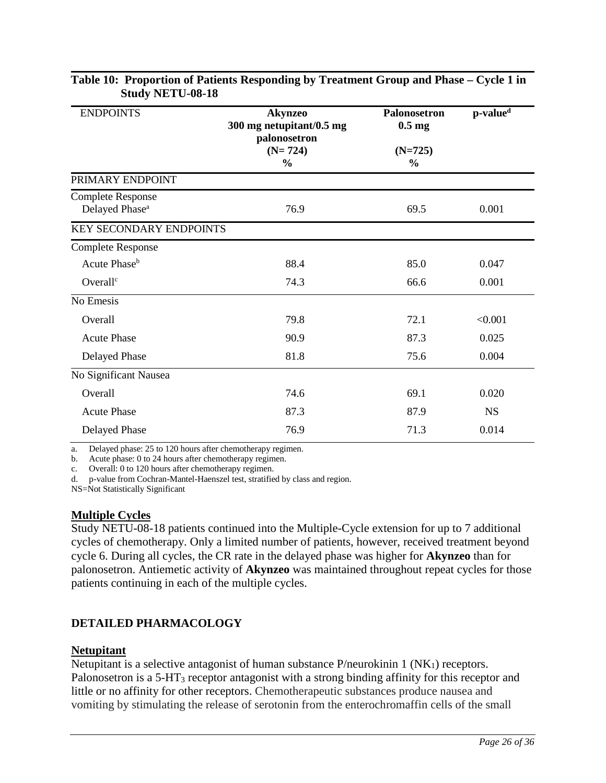| <b>ENDPOINTS</b>                                       | <b>Akynzeo</b><br>300 mg netupitant/0.5 mg<br>palonosetron | <b>Palonosetron</b><br>$0.5$ mg | p-value <sup>d</sup> |
|--------------------------------------------------------|------------------------------------------------------------|---------------------------------|----------------------|
|                                                        | $(N=724)$<br>$\frac{0}{0}$                                 | $(N=725)$<br>$\frac{0}{0}$      |                      |
| PRIMARY ENDPOINT                                       |                                                            |                                 |                      |
| <b>Complete Response</b><br>Delayed Phase <sup>a</sup> | 76.9                                                       | 69.5                            | 0.001                |
| KEY SECONDARY ENDPOINTS                                |                                                            |                                 |                      |
| <b>Complete Response</b>                               |                                                            |                                 |                      |
| Acute Phase <sup>b</sup>                               | 88.4                                                       | 85.0                            | 0.047                |
| Overall <sup>c</sup>                                   | 74.3                                                       | 66.6                            | 0.001                |
| No Emesis                                              |                                                            |                                 |                      |
| Overall                                                | 79.8                                                       | 72.1                            | < 0.001              |
| <b>Acute Phase</b>                                     | 90.9                                                       | 87.3                            | 0.025                |
| Delayed Phase                                          | 81.8                                                       | 75.6                            | 0.004                |
| No Significant Nausea                                  |                                                            |                                 |                      |
| Overall                                                | 74.6                                                       | 69.1                            | 0.020                |
| <b>Acute Phase</b>                                     | 87.3                                                       | 87.9                            | <b>NS</b>            |
| Delayed Phase                                          | 76.9                                                       | 71.3                            | 0.014                |

### <span id="page-25-1"></span>**Table 10: Proportion of Patients Responding by Treatment Group and Phase – Cycle 1 in Study NETU-08-18**

<span id="page-25-3"></span>a. Delayed phase: 25 to 120 hours after chemotherapy regimen.

<span id="page-25-4"></span>b. Acute phase: 0 to 24 hours after chemotherapy regimen.

<span id="page-25-5"></span>c. Overall: 0 to 120 hours after chemotherapy regimen.

<span id="page-25-2"></span>d. p-value from Cochran-Mantel-Haenszel test, stratified by class and region.

NS=Not Statistically Significant

#### **Multiple Cycles**

Study NETU-08-18 patients continued into the Multiple-Cycle extension for up to 7 additional cycles of chemotherapy. Only a limited number of patients, however, received treatment beyond cycle 6. During all cycles, the CR rate in the delayed phase was higher for **Akynzeo** than for palonosetron. Antiemetic activity of **Akynzeo** was maintained throughout repeat cycles for those patients continuing in each of the multiple cycles.

# <span id="page-25-0"></span>**DETAILED PHARMACOLOGY**

## **Netupitant**

Netupitant is a selective antagonist of human substance  $P/$ neurokinin 1 (NK<sub>1</sub>) receptors. Palonosetron is a 5-HT<sub>3</sub> receptor antagonist with a strong binding affinity for this receptor and little or no affinity for other receptors. Chemotherapeutic substances produce nausea and vomiting by stimulating the release of serotonin from the enterochromaffin cells of the small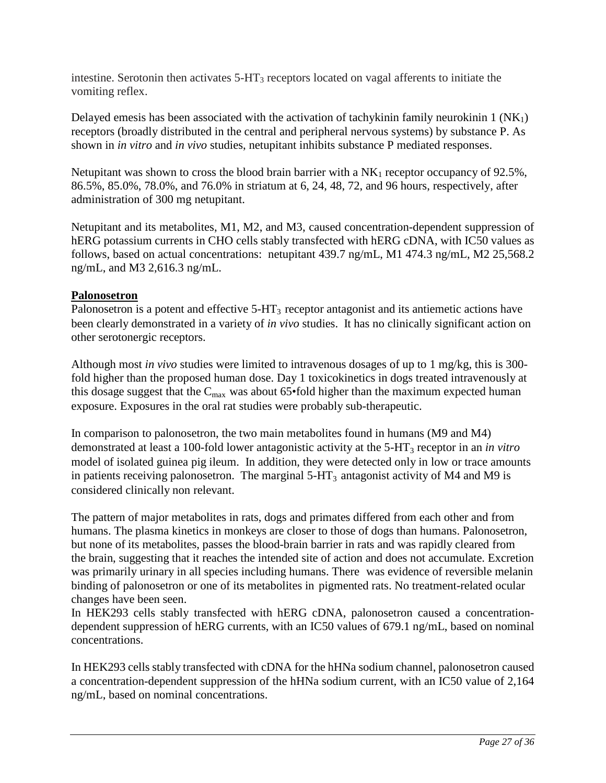intestine. Serotonin then activates  $5-HT<sub>3</sub>$  receptors located on vagal afferents to initiate the vomiting reflex.

Delayed emesis has been associated with the activation of tachykinin family neurokinin 1 (NK1) receptors (broadly distributed in the central and peripheral nervous systems) by substance P. As shown in *in vitro* and *in vivo* studies, netupitant inhibits substance P mediated responses.

Netupitant was shown to cross the blood brain barrier with a  $NK_1$  receptor occupancy of 92.5%, 86.5%, 85.0%, 78.0%, and 76.0% in striatum at 6, 24, 48, 72, and 96 hours, respectively, after administration of 300 mg netupitant.

Netupitant and its metabolites, M1, M2, and M3, caused concentration-dependent suppression of hERG potassium currents in CHO cells stably transfected with hERG cDNA, with IC50 values as follows, based on actual concentrations: netupitant 439.7 ng/mL, M1 474.3 ng/mL, M2 25,568.2 ng/mL, and M3 2,616.3 ng/mL.

### **Palonosetron**

Palonosetron is a potent and effective  $5-\text{HT}_3$  receptor antagonist and its antiemetic actions have been clearly demonstrated in a variety of *in vivo* studies. It has no clinically significant action on other serotonergic receptors.

Although most *in vivo* studies were limited to intravenous dosages of up to 1 mg/kg, this is 300 fold higher than the proposed human dose. Day 1 toxicokinetics in dogs treated intravenously at this dosage suggest that the  $C_{\text{max}}$  was about 65•fold higher than the maximum expected human exposure. Exposures in the oral rat studies were probably sub-therapeutic.

In comparison to palonosetron, the two main metabolites found in humans (M9 and M4) demonstrated at least a 100-fold lower antagonistic activity at the 5-HT<sub>3</sub> receptor in an *in vitro* model of isolated guinea pig ileum. In addition, they were detected only in low or trace amounts in patients receiving palonosetron. The marginal  $5-HT<sub>3</sub>$  antagonist activity of M4 and M9 is considered clinically non relevant.

The pattern of major metabolites in rats, dogs and primates differed from each other and from humans. The plasma kinetics in monkeys are closer to those of dogs than humans. Palonosetron, but none of its metabolites, passes the blood-brain barrier in rats and was rapidly cleared from the brain, suggesting that it reaches the intended site of action and does not accumulate. Excretion was primarily urinary in all species including humans. There was evidence of reversible melanin binding of palonosetron or one of its metabolites in pigmented rats. No treatment-related ocular changes have been seen.

In HEK293 cells stably transfected with hERG cDNA, palonosetron caused a concentrationdependent suppression of hERG currents, with an IC50 values of 679.1 ng/mL, based on nominal concentrations.

In HEK293 cells stably transfected with cDNA for the hHNa sodium channel, palonosetron caused a concentration-dependent suppression of the hHNa sodium current, with an IC50 value of 2,164 ng/mL, based on nominal concentrations.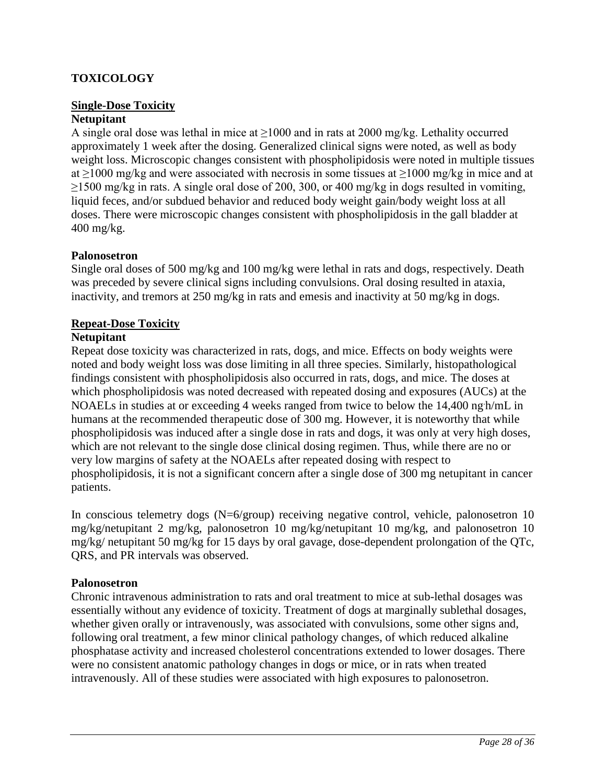## <span id="page-27-0"></span>**TOXICOLOGY**

# **Single-Dose Toxicity**

# **Netupitant**

A single oral dose was lethal in mice at  $\geq 1000$  and in rats at 2000 mg/kg. Lethality occurred approximately 1 week after the dosing. Generalized clinical signs were noted, as well as body weight loss. Microscopic changes consistent with phospholipidosis were noted in multiple tissues at  $\geq$ 1000 mg/kg and were associated with necrosis in some tissues at  $\geq$ 1000 mg/kg in mice and at ≥1500 mg/kg in rats. A single oral dose of 200, 300, or 400 mg/kg in dogs resulted in vomiting, liquid feces, and/or subdued behavior and reduced body weight gain/body weight loss at all doses. There were microscopic changes consistent with phospholipidosis in the gall bladder at 400 mg/kg.

#### **Palonosetron**

Single oral doses of 500 mg/kg and 100 mg/kg were lethal in rats and dogs, respectively. Death was preceded by severe clinical signs including convulsions. Oral dosing resulted in ataxia, inactivity, and tremors at 250 mg/kg in rats and emesis and inactivity at 50 mg/kg in dogs.

### **Repeat-Dose Toxicity**

### **Netupitant**

Repeat dose toxicity was characterized in rats, dogs, and mice. Effects on body weights were noted and body weight loss was dose limiting in all three species. Similarly, histopathological findings consistent with phospholipidosis also occurred in rats, dogs, and mice. The doses at which phospholipidosis was noted decreased with repeated dosing and exposures (AUCs) at the NOAELs in studies at or exceeding 4 weeks ranged from twice to below the 14,400 ngh/mL in humans at the recommended therapeutic dose of 300 mg. However, it is noteworthy that while phospholipidosis was induced after a single dose in rats and dogs, it was only at very high doses, which are not relevant to the single dose clinical dosing regimen. Thus, while there are no or very low margins of safety at the NOAELs after repeated dosing with respect to phospholipidosis, it is not a significant concern after a single dose of 300 mg netupitant in cancer patients.

In conscious telemetry dogs (N=6/group) receiving negative control, vehicle, palonosetron 10 mg/kg/netupitant 2 mg/kg, palonosetron 10 mg/kg/netupitant 10 mg/kg, and palonosetron 10 mg/kg/ netupitant 50 mg/kg for 15 days by oral gavage, dose-dependent prolongation of the QTc, QRS, and PR intervals was observed.

#### **Palonosetron**

Chronic intravenous administration to rats and oral treatment to mice at sub-lethal dosages was essentially without any evidence of toxicity. Treatment of dogs at marginally sublethal dosages, whether given orally or intravenously, was associated with convulsions, some other signs and, following oral treatment, a few minor clinical pathology changes, of which reduced alkaline phosphatase activity and increased cholesterol concentrations extended to lower dosages. There were no consistent anatomic pathology changes in dogs or mice, or in rats when treated intravenously. All of these studies were associated with high exposures to palonosetron.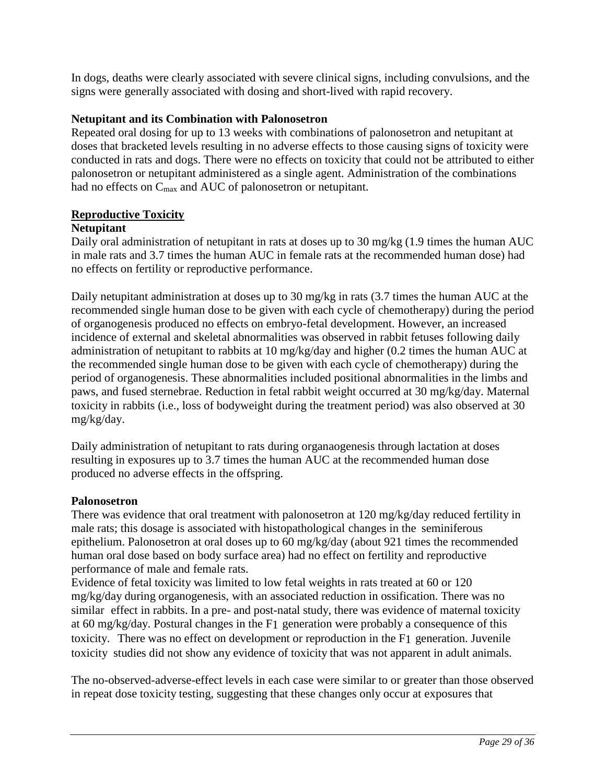In dogs, deaths were clearly associated with severe clinical signs, including convulsions, and the signs were generally associated with dosing and short-lived with rapid recovery.

### **Netupitant and its Combination with Palonosetron**

Repeated oral dosing for up to 13 weeks with combinations of palonosetron and netupitant at doses that bracketed levels resulting in no adverse effects to those causing signs of toxicity were conducted in rats and dogs. There were no effects on toxicity that could not be attributed to either palonosetron or netupitant administered as a single agent. Administration of the combinations had no effects on C<sub>max</sub> and AUC of palonosetron or netupitant.

## **Reproductive Toxicity**

#### **Netupitant**

Daily oral administration of netupitant in rats at doses up to 30 mg/kg (1.9 times the human AUC in male rats and 3.7 times the human AUC in female rats at the recommended human dose) had no effects on fertility or reproductive performance.

Daily netupitant administration at doses up to 30 mg/kg in rats (3.7 times the human AUC at the recommended single human dose to be given with each cycle of chemotherapy) during the period of organogenesis produced no effects on embryo-fetal development. However, an increased incidence of external and skeletal abnormalities was observed in rabbit fetuses following daily administration of netupitant to rabbits at 10 mg/kg/day and higher (0.2 times the human AUC at the recommended single human dose to be given with each cycle of chemotherapy) during the period of organogenesis. These abnormalities included positional abnormalities in the limbs and paws, and fused sternebrae. Reduction in fetal rabbit weight occurred at 30 mg/kg/day. Maternal toxicity in rabbits (i.e., loss of bodyweight during the treatment period) was also observed at 30 mg/kg/day.

Daily administration of netupitant to rats during organaogenesis through lactation at doses resulting in exposures up to 3.7 times the human AUC at the recommended human dose produced no adverse effects in the offspring.

#### **Palonosetron**

There was evidence that oral treatment with palonosetron at 120 mg/kg/day reduced fertility in male rats; this dosage is associated with histopathological changes in the seminiferous epithelium. Palonosetron at oral doses up to 60 mg/kg/day (about 921 times the recommended human oral dose based on body surface area) had no effect on fertility and reproductive performance of male and female rats.

Evidence of fetal toxicity was limited to low fetal weights in rats treated at 60 or 120 mg/kg/day during organogenesis, with an associated reduction in ossification. There was no similar effect in rabbits. In a pre- and post-natal study, there was evidence of maternal toxicity at 60 mg/kg/day. Postural changes in the F1 generation were probably a consequence of this toxicity. There was no effect on development or reproduction in the F1 generation. Juvenile toxicity studies did not show any evidence of toxicity that was not apparent in adult animals.

The no-observed-adverse-effect levels in each case were similar to or greater than those observed in repeat dose toxicity testing, suggesting that these changes only occur at exposures that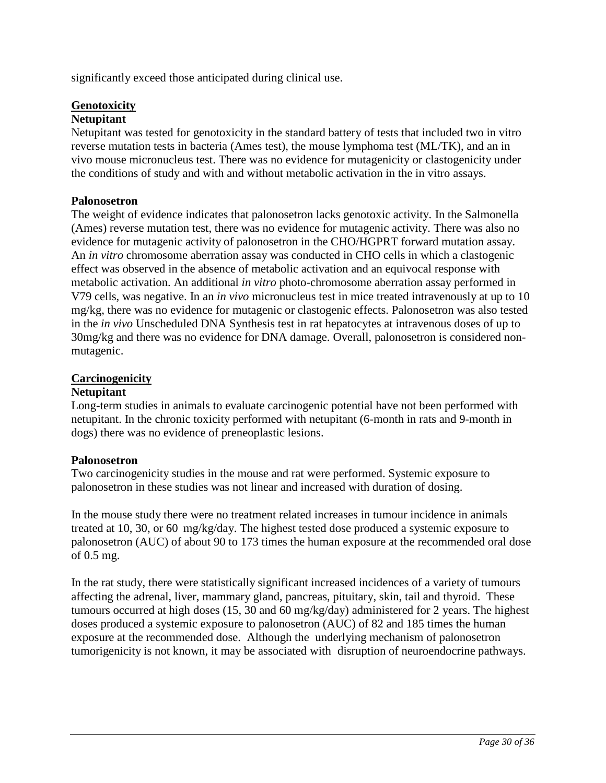significantly exceed those anticipated during clinical use.

## **Genotoxicity**

### **Netupitant**

Netupitant was tested for genotoxicity in the standard battery of tests that included two in vitro reverse mutation tests in bacteria (Ames test), the mouse lymphoma test (ML/TK), and an in vivo mouse micronucleus test. There was no evidence for mutagenicity or clastogenicity under the conditions of study and with and without metabolic activation in the in vitro assays.

### **Palonosetron**

The weight of evidence indicates that palonosetron lacks genotoxic activity. In the Salmonella (Ames) reverse mutation test, there was no evidence for mutagenic activity. There was also no evidence for mutagenic activity of palonosetron in the CHO/HGPRT forward mutation assay. An *in vitro* chromosome aberration assay was conducted in CHO cells in which a clastogenic effect was observed in the absence of metabolic activation and an equivocal response with metabolic activation. An additional *in vitro* photo-chromosome aberration assay performed in V79 cells, was negative. In an *in vivo* micronucleus test in mice treated intravenously at up to 10 mg/kg, there was no evidence for mutagenic or clastogenic effects. Palonosetron was also tested in the *in vivo* Unscheduled DNA Synthesis test in rat hepatocytes at intravenous doses of up to 30mg/kg and there was no evidence for DNA damage. Overall, palonosetron is considered nonmutagenic.

## **Carcinogenicity**

#### **Netupitant**

Long-term studies in animals to evaluate carcinogenic potential have not been performed with netupitant. In the chronic toxicity performed with netupitant (6-month in rats and 9-month in dogs) there was no evidence of preneoplastic lesions.

#### **Palonosetron**

Two carcinogenicity studies in the mouse and rat were performed. Systemic exposure to palonosetron in these studies was not linear and increased with duration of dosing.

In the mouse study there were no treatment related increases in tumour incidence in animals treated at 10, 30, or 60 mg/kg/day. The highest tested dose produced a systemic exposure to palonosetron (AUC) of about 90 to 173 times the human exposure at the recommended oral dose of 0.5 mg.

<span id="page-29-0"></span>In the rat study, there were statistically significant increased incidences of a variety of tumours affecting the adrenal, liver, mammary gland, pancreas, pituitary, skin, tail and thyroid. These tumours occurred at high doses (15, 30 and 60 mg/kg/day) administered for 2 years. The highest doses produced a systemic exposure to palonosetron (AUC) of 82 and 185 times the human exposure at the recommended dose. Although the underlying mechanism of palonosetron tumorigenicity is not known, it may be associated with disruption of neuroendocrine pathways.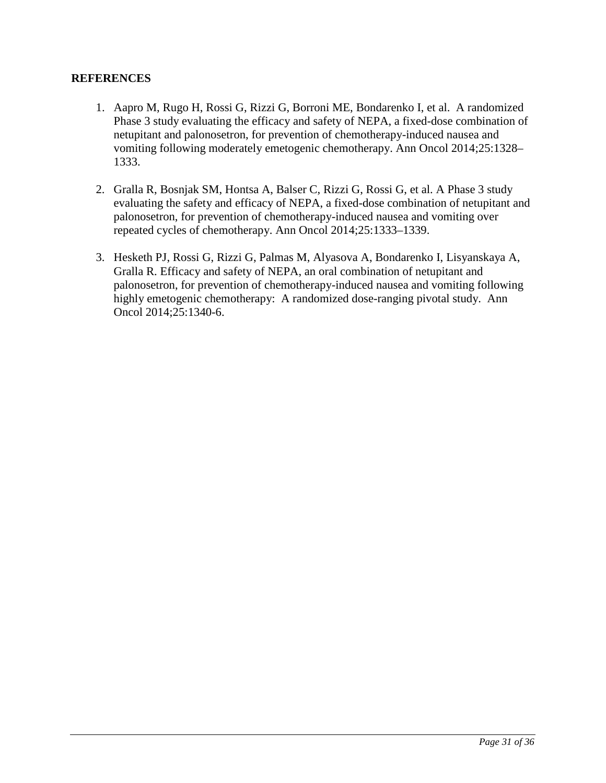### **REFERENCES**

- 1. Aapro M, Rugo H, Rossi G, Rizzi G, Borroni ME, Bondarenko I, et al. A randomized Phase 3 study evaluating the efficacy and safety of NEPA, a fixed-dose combination of netupitant and palonosetron, for prevention of chemotherapy-induced nausea and vomiting following moderately emetogenic chemotherapy. Ann Oncol 2014;25:1328– 1333.
- 2. Gralla R, Bosnjak SM, Hontsa A, Balser C, Rizzi G, Rossi G, et al. A Phase 3 study evaluating the safety and efficacy of NEPA, a fixed-dose combination of netupitant and palonosetron, for prevention of chemotherapy-induced nausea and vomiting over repeated cycles of chemotherapy. Ann Oncol 2014;25:1333–1339.
- 3. Hesketh PJ, Rossi G, Rizzi G, Palmas M, Alyasova A, Bondarenko I, Lisyanskaya A, Gralla R. Efficacy and safety of NEPA, an oral combination of netupitant and palonosetron, for prevention of chemotherapy-induced nausea and vomiting following highly emetogenic chemotherapy: A randomized dose-ranging pivotal study. Ann Oncol 2014;25:1340-6.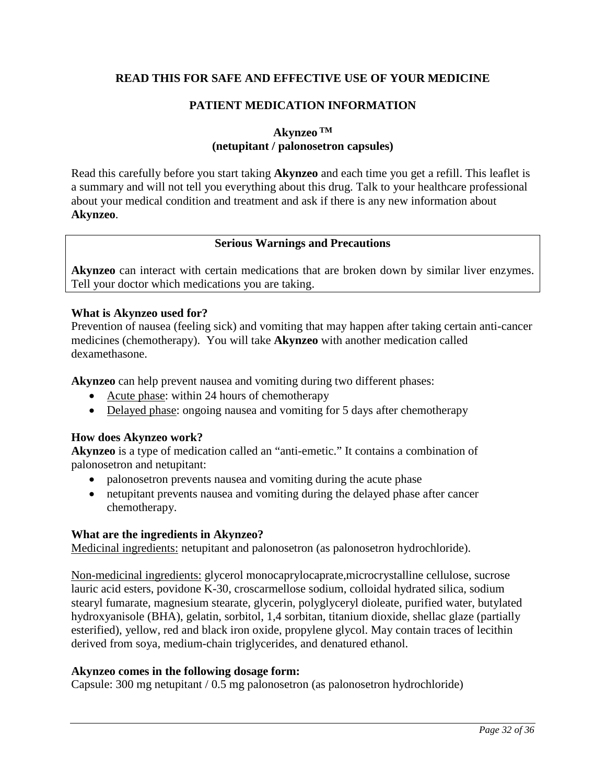## <span id="page-31-0"></span>**READ THIS FOR SAFE AND EFFECTIVE USE OF YOUR MEDICINE**

# **PATIENT MEDICATION INFORMATION**

**Akynzeo TM**

### **(netupitant / palonosetron capsules)**

Read this carefully before you start taking **Akynzeo** and each time you get a refill. This leaflet is a summary and will not tell you everything about this drug. Talk to your healthcare professional about your medical condition and treatment and ask if there is any new information about **Akynzeo**.

#### **Serious Warnings and Precautions**

**Akynzeo** can interact with certain medications that are broken down by similar liver enzymes. Tell your doctor which medications you are taking.

#### **What is Akynzeo used for?**

Prevention of nausea (feeling sick) and vomiting that may happen after taking certain anti-cancer medicines (chemotherapy). You will take **Akynzeo** with another medication called dexamethasone.

**Akynzeo** can help prevent nausea and vomiting during two different phases:

- Acute phase: within 24 hours of chemotherapy
- Delayed phase: ongoing nausea and vomiting for 5 days after chemotherapy

#### **How does Akynzeo work?**

**Akynzeo** is a type of medication called an "anti-emetic." It contains a combination of palonosetron and netupitant:

- palonosetron prevents nausea and vomiting during the acute phase
- netupitant prevents nausea and vomiting during the delayed phase after cancer chemotherapy.

#### **What are the ingredients in Akynzeo?**

Medicinal ingredients: netupitant and palonosetron (as palonosetron hydrochloride).

Non-medicinal ingredients: glycerol monocaprylocaprate,microcrystalline cellulose, sucrose lauric acid esters, povidone K-30, croscarmellose sodium, colloidal hydrated silica, sodium stearyl fumarate, magnesium stearate, glycerin, polyglyceryl dioleate, purified water, butylated hydroxyanisole (BHA), gelatin, sorbitol, 1,4 sorbitan, titanium dioxide, shellac glaze (partially esterified), yellow, red and black iron oxide, propylene glycol. May contain traces of lecithin derived from soya, medium-chain triglycerides, and denatured ethanol.

#### **Akynzeo comes in the following dosage form:**

Capsule: 300 mg netupitant / 0.5 mg palonosetron (as palonosetron hydrochloride)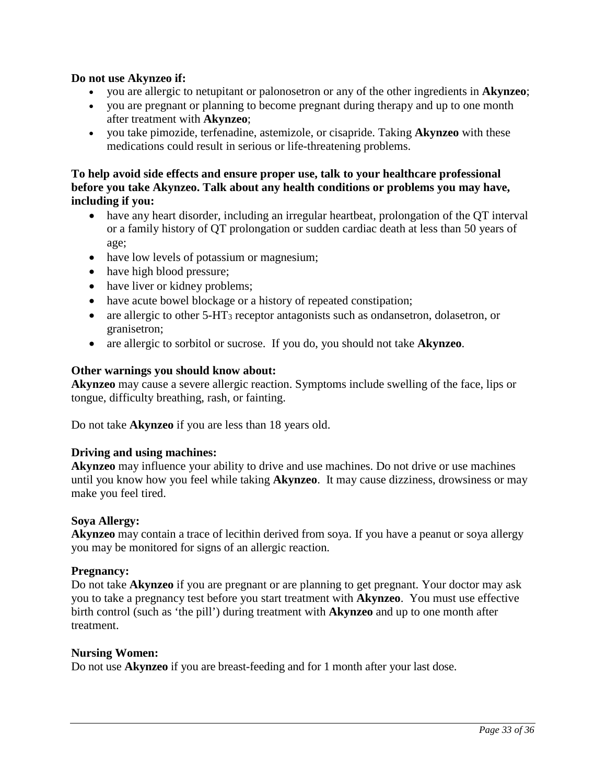#### **Do not use Akynzeo if:**

- you are allergic to netupitant or palonosetron or any of the other ingredients in **Akynzeo**;
- you are pregnant or planning to become pregnant during therapy and up to one month after treatment with **Akynzeo**;
- you take pimozide, terfenadine, astemizole, or cisapride. Taking **Akynzeo** with these medications could result in serious or life-threatening problems.

#### **To help avoid side effects and ensure proper use, talk to your healthcare professional before you take Akynzeo. Talk about any health conditions or problems you may have, including if you:**

- have any heart disorder, including an irregular heartbeat, prolongation of the QT interval or a family history of QT prolongation or sudden cardiac death at less than 50 years of age;
- have low levels of potassium or magnesium;
- have high blood pressure;
- have liver or kidney problems;
- have acute bowel blockage or a history of repeated constipation;
- are allergic to other  $5-\text{HT}_3$  receptor antagonists such as ondansetron, dolasetron, or granisetron;
- are allergic to sorbitol or sucrose. If you do, you should not take **Akynzeo**.

#### **Other warnings you should know about:**

**Akynzeo** may cause a severe allergic reaction. Symptoms include swelling of the face, lips or tongue, difficulty breathing, rash, or fainting.

Do not take **Akynzeo** if you are less than 18 years old.

#### **Driving and using machines:**

**Akynzeo** may influence your ability to drive and use machines. Do not drive or use machines until you know how you feel while taking **Akynzeo**. It may cause dizziness, drowsiness or may make you feel tired.

#### **Soya Allergy:**

**Akynzeo** may contain a trace of lecithin derived from soya. If you have a peanut or soya allergy you may be monitored for signs of an allergic reaction.

#### **Pregnancy:**

Do not take **Akynzeo** if you are pregnant or are planning to get pregnant. Your doctor may ask you to take a pregnancy test before you start treatment with **Akynzeo**. You must use effective birth control (such as 'the pill') during treatment with **Akynzeo** and up to one month after treatment.

#### **Nursing Women:**

Do not use **Akynzeo** if you are breast-feeding and for 1 month after your last dose.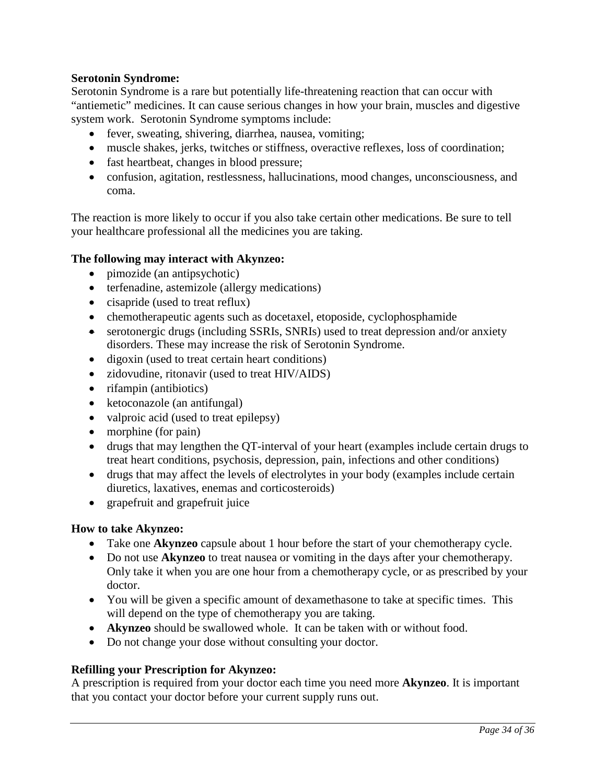## **Serotonin Syndrome:**

Serotonin Syndrome is a rare but potentially life-threatening reaction that can occur with "antiemetic" medicines. It can cause serious changes in how your brain, muscles and digestive system work. Serotonin Syndrome symptoms include:

- fever, sweating, shivering, diarrhea, nausea, vomiting;
- muscle shakes, jerks, twitches or stiffness, overactive reflexes, loss of coordination;
- fast heartbeat, changes in blood pressure;
- confusion, agitation, restlessness, hallucinations, mood changes, unconsciousness, and coma.

The reaction is more likely to occur if you also take certain other medications. Be sure to tell your healthcare professional all the medicines you are taking.

#### **The following may interact with Akynzeo:**

- pimozide (an antipsychotic)
- terfenadine, astemizole (allergy medications)
- cisapride (used to treat reflux)
- chemotherapeutic agents such as docetaxel, etoposide, cyclophosphamide
- serotonergic drugs (including SSRIs, SNRIs) used to treat depression and/or anxiety disorders. These may increase the risk of Serotonin Syndrome.
- digoxin (used to treat certain heart conditions)
- zidovudine, ritonavir (used to treat HIV/AIDS)
- rifampin (antibiotics)
- ketoconazole (an antifungal)
- valproic acid (used to treat epilepsy)
- morphine (for pain)
- drugs that may lengthen the QT-interval of your heart (examples include certain drugs to treat heart conditions, psychosis, depression, pain, infections and other conditions)
- drugs that may affect the levels of electrolytes in your body (examples include certain diuretics, laxatives, enemas and corticosteroids)
- grapefruit and grapefruit juice

#### **How to take Akynzeo:**

- Take one **Akynzeo** capsule about 1 hour before the start of your chemotherapy cycle.
- Do not use **Akynzeo** to treat nausea or vomiting in the days after your chemotherapy. Only take it when you are one hour from a chemotherapy cycle, or as prescribed by your doctor.
- You will be given a specific amount of dexamethasone to take at specific times. This will depend on the type of chemotherapy you are taking.
- **Akynzeo** should be swallowed whole. It can be taken with or without food.
- Do not change your dose without consulting your doctor.

#### **Refilling your Prescription for Akynzeo:**

A prescription is required from your doctor each time you need more **Akynzeo**. It is important that you contact your doctor before your current supply runs out.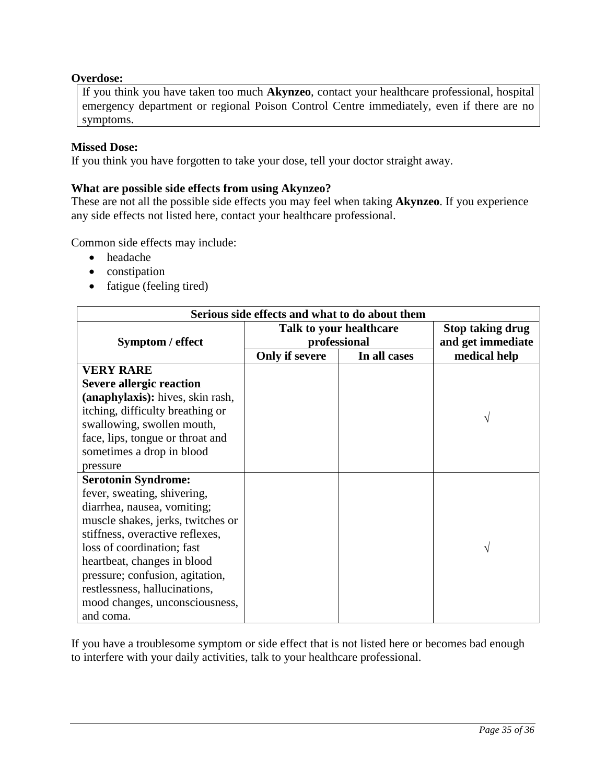### **Overdose:**

If you think you have taken too much **Akynzeo**, contact your healthcare professional, hospital emergency department or regional Poison Control Centre immediately, even if there are no symptoms.

#### **Missed Dose:**

If you think you have forgotten to take your dose, tell your doctor straight away.

#### **What are possible side effects from using Akynzeo?**

These are not all the possible side effects you may feel when taking **Akynzeo**. If you experience any side effects not listed here, contact your healthcare professional.

Common side effects may include:

- headache
- constipation
- fatigue (feeling tired)

| Serious side effects and what to do about them |                         |                         |              |  |  |
|------------------------------------------------|-------------------------|-------------------------|--------------|--|--|
|                                                | Talk to your healthcare | <b>Stop taking drug</b> |              |  |  |
| Symptom / effect                               | professional            | and get immediate       |              |  |  |
|                                                | Only if severe          | In all cases            | medical help |  |  |
| <b>VERY RARE</b>                               |                         |                         |              |  |  |
| <b>Severe allergic reaction</b>                |                         |                         |              |  |  |
| (anaphylaxis): hives, skin rash,               |                         |                         |              |  |  |
| itching, difficulty breathing or               |                         |                         |              |  |  |
| swallowing, swollen mouth,                     |                         |                         | V            |  |  |
| face, lips, tongue or throat and               |                         |                         |              |  |  |
| sometimes a drop in blood                      |                         |                         |              |  |  |
| pressure                                       |                         |                         |              |  |  |
| <b>Serotonin Syndrome:</b>                     |                         |                         |              |  |  |
| fever, sweating, shivering,                    |                         |                         |              |  |  |
| diarrhea, nausea, vomiting;                    |                         |                         |              |  |  |
| muscle shakes, jerks, twitches or              |                         |                         |              |  |  |
| stiffness, overactive reflexes,                |                         |                         |              |  |  |
| loss of coordination; fast                     |                         |                         | V            |  |  |
| heartbeat, changes in blood                    |                         |                         |              |  |  |
| pressure; confusion, agitation,                |                         |                         |              |  |  |
| restlessness, hallucinations,                  |                         |                         |              |  |  |
| mood changes, unconsciousness,                 |                         |                         |              |  |  |
| and coma.                                      |                         |                         |              |  |  |

If you have a troublesome symptom or side effect that is not listed here or becomes bad enough to interfere with your daily activities, talk to your healthcare professional.